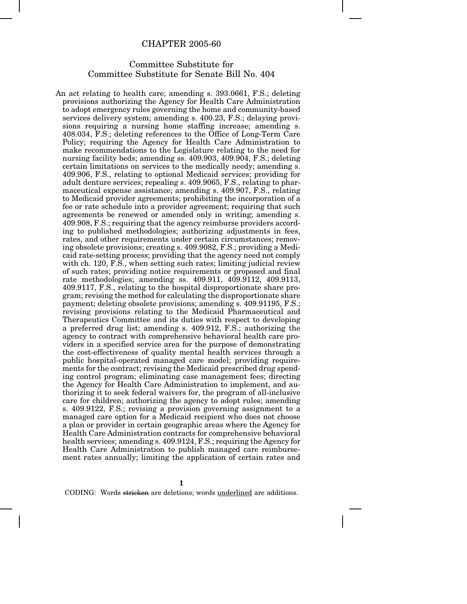## CHAPTER 2005-60

## Committee Substitute for Committee Substitute for Senate Bill No. 404

An act relating to health care; amending s. 393.0661, F.S.; deleting provisions authorizing the Agency for Health Care Administration to adopt emergency rules governing the home and community-based services delivery system; amending s. 400.23, F.S.; delaying provisions requiring a nursing home staffing increase; amending s. 408.034, F.S.; deleting references to the Office of Long-Term Care Policy; requiring the Agency for Health Care Administration to make recommendations to the Legislature relating to the need for nursing facility beds; amending ss. 409.903, 409.904, F.S.; deleting certain limitations on services to the medically needy; amending s. 409.906, F.S., relating to optional Medicaid services; providing for adult denture services; repealing s. 409.9065, F.S., relating to pharmaceutical expense assistance; amending s. 409.907, F.S., relating to Medicaid provider agreements; prohibiting the incorporation of a fee or rate schedule into a provider agreement; requiring that such agreements be renewed or amended only in writing; amending s. 409.908, F.S.; requiring that the agency reimburse providers according to published methodologies; authorizing adjustments in fees, rates, and other requirements under certain circumstances; removing obsolete provisions; creating s. 409.9082, F.S.; providing a Medicaid rate-setting process; providing that the agency need not comply with ch. 120, F.S., when setting such rates; limiting judicial review of such rates; providing notice requirements or proposed and final rate methodologies; amending ss. 409.911, 409.9112, 409.9113, 409.9117, F.S., relating to the hospital disproportionate share program; revising the method for calculating the disproportionate share payment; deleting obsolete provisions; amending s. 409.91195, F.S.; revising provisions relating to the Medicaid Pharmaceutical and Therapeutics Committee and its duties with respect to developing a preferred drug list; amending s. 409.912, F.S.; authorizing the agency to contract with comprehensive behavioral health care providers in a specified service area for the purpose of demonstrating the cost-effectiveness of quality mental health services through a public hospital-operated managed care model; providing requirements for the contract; revising the Medicaid prescribed drug spending control program; eliminating case management fees; directing the Agency for Health Care Administration to implement, and authorizing it to seek federal waivers for, the program of all-inclusive care for children; authorizing the agency to adopt rules; amending s. 409.9122, F.S.; revising a provision governing assignment to a managed care option for a Medicaid recipient who does not choose a plan or provider in certain geographic areas where the Agency for Health Care Administration contracts for comprehensive behavioral health services; amending s. 409.9124, F.S.; requiring the Agency for Health Care Administration to publish managed care reimbursement rates annually; limiting the application of certain rates and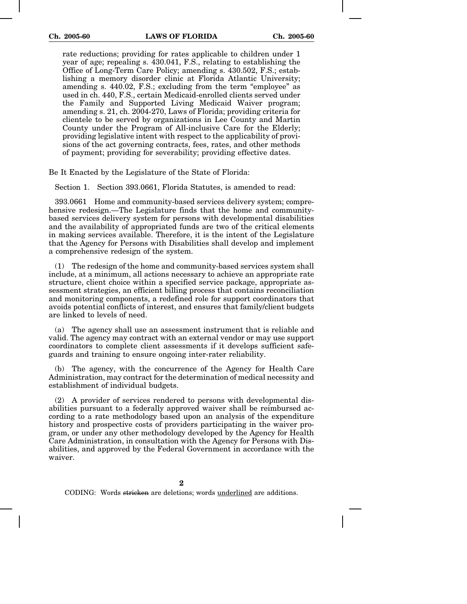rate reductions; providing for rates applicable to children under 1 year of age; repealing s. 430.041, F.S., relating to establishing the Office of Long-Term Care Policy; amending s. 430.502, F.S.; establishing a memory disorder clinic at Florida Atlantic University; amending s. 440.02, F.S.; excluding from the term "employee" as used in ch. 440, F.S., certain Medicaid-enrolled clients served under the Family and Supported Living Medicaid Waiver program; amending s. 21, ch. 2004-270, Laws of Florida; providing criteria for clientele to be served by organizations in Lee County and Martin County under the Program of All-inclusive Care for the Elderly; providing legislative intent with respect to the applicability of provisions of the act governing contracts, fees, rates, and other methods of payment; providing for severability; providing effective dates.

Be It Enacted by the Legislature of the State of Florida:

Section 1. Section 393.0661, Florida Statutes, is amended to read:

393.0661 Home and community-based services delivery system; comprehensive redesign.—The Legislature finds that the home and communitybased services delivery system for persons with developmental disabilities and the availability of appropriated funds are two of the critical elements in making services available. Therefore, it is the intent of the Legislature that the Agency for Persons with Disabilities shall develop and implement a comprehensive redesign of the system.

(1) The redesign of the home and community-based services system shall include, at a minimum, all actions necessary to achieve an appropriate rate structure, client choice within a specified service package, appropriate assessment strategies, an efficient billing process that contains reconciliation and monitoring components, a redefined role for support coordinators that avoids potential conflicts of interest, and ensures that family/client budgets are linked to levels of need.

(a) The agency shall use an assessment instrument that is reliable and valid. The agency may contract with an external vendor or may use support coordinators to complete client assessments if it develops sufficient safeguards and training to ensure ongoing inter-rater reliability.

(b) The agency, with the concurrence of the Agency for Health Care Administration, may contract for the determination of medical necessity and establishment of individual budgets.

(2) A provider of services rendered to persons with developmental disabilities pursuant to a federally approved waiver shall be reimbursed according to a rate methodology based upon an analysis of the expenditure history and prospective costs of providers participating in the waiver program, or under any other methodology developed by the Agency for Health Care Administration, in consultation with the Agency for Persons with Disabilities, and approved by the Federal Government in accordance with the waiver.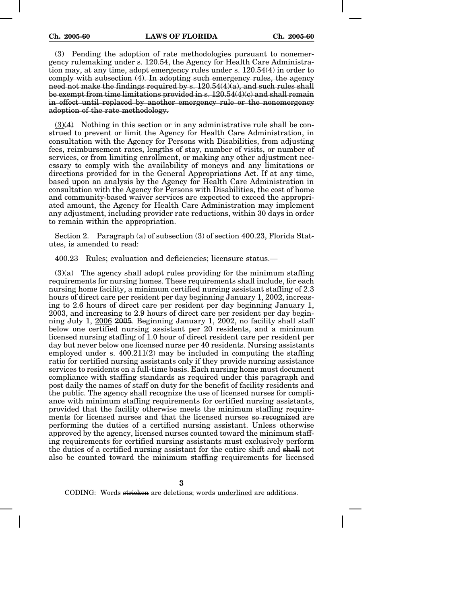(3) Pending the adoption of rate methodologies pursuant to nonemergency rulemaking under s. 120.54, the Agency for Health Care Administration may, at any time, adopt emergency rules under s. 120.54(4) in order to comply with subsection  $(4)$ . In adopting such emergency rules, the agency need not make the findings required by  $s$ ,  $120.54(4)(a)$ , and such rules shall be exempt from time limitations provided in s. 120.54(4)(c) and shall remain in effect until replaced by another emergency rule or the nonemergency adoption of the rate methodology.

(3)(4) Nothing in this section or in any administrative rule shall be construed to prevent or limit the Agency for Health Care Administration, in consultation with the Agency for Persons with Disabilities, from adjusting fees, reimbursement rates, lengths of stay, number of visits, or number of services, or from limiting enrollment, or making any other adjustment necessary to comply with the availability of moneys and any limitations or directions provided for in the General Appropriations Act. If at any time, based upon an analysis by the Agency for Health Care Administration in consultation with the Agency for Persons with Disabilities, the cost of home and community-based waiver services are expected to exceed the appropriated amount, the Agency for Health Care Administration may implement any adjustment, including provider rate reductions, within 30 days in order to remain within the appropriation.

Section 2. Paragraph (a) of subsection (3) of section 400.23, Florida Statutes, is amended to read:

400.23 Rules; evaluation and deficiencies; licensure status.—

 $(3)(a)$  The agency shall adopt rules providing for the minimum staffing requirements for nursing homes. These requirements shall include, for each nursing home facility, a minimum certified nursing assistant staffing of 2.3 hours of direct care per resident per day beginning January 1, 2002, increasing to 2.6 hours of direct care per resident per day beginning January 1, 2003, and increasing to 2.9 hours of direct care per resident per day beginning July 1, 2006 2005. Beginning January 1, 2002, no facility shall staff below one certified nursing assistant per 20 residents, and a minimum licensed nursing staffing of 1.0 hour of direct resident care per resident per day but never below one licensed nurse per 40 residents. Nursing assistants employed under s.  $400.211(2)$  may be included in computing the staffing ratio for certified nursing assistants only if they provide nursing assistance services to residents on a full-time basis. Each nursing home must document compliance with staffing standards as required under this paragraph and post daily the names of staff on duty for the benefit of facility residents and the public. The agency shall recognize the use of licensed nurses for compliance with minimum staffing requirements for certified nursing assistants, provided that the facility otherwise meets the minimum staffing requirements for licensed nurses and that the licensed nurses so recognized are performing the duties of a certified nursing assistant. Unless otherwise approved by the agency, licensed nurses counted toward the minimum staffing requirements for certified nursing assistants must exclusively perform the duties of a certified nursing assistant for the entire shift and shall not also be counted toward the minimum staffing requirements for licensed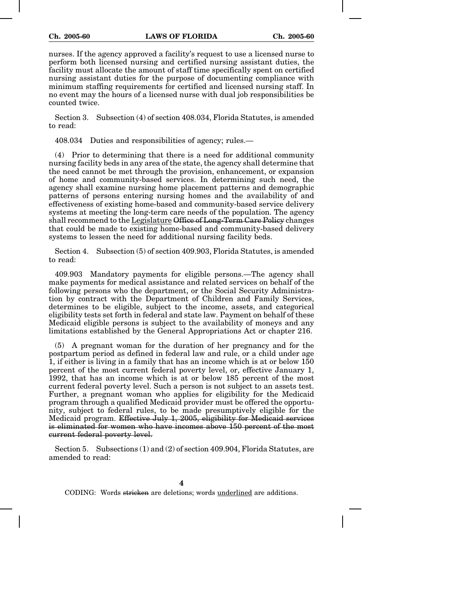nurses. If the agency approved a facility's request to use a licensed nurse to perform both licensed nursing and certified nursing assistant duties, the facility must allocate the amount of staff time specifically spent on certified nursing assistant duties for the purpose of documenting compliance with minimum staffing requirements for certified and licensed nursing staff. In no event may the hours of a licensed nurse with dual job responsibilities be counted twice.

Section 3. Subsection (4) of section 408.034, Florida Statutes, is amended to read:

408.034 Duties and responsibilities of agency; rules.—

(4) Prior to determining that there is a need for additional community nursing facility beds in any area of the state, the agency shall determine that the need cannot be met through the provision, enhancement, or expansion of home and community-based services. In determining such need, the agency shall examine nursing home placement patterns and demographic patterns of persons entering nursing homes and the availability of and effectiveness of existing home-based and community-based service delivery systems at meeting the long-term care needs of the population. The agency shall recommend to the Legislature Office of Long-Term Care Policy changes that could be made to existing home-based and community-based delivery systems to lessen the need for additional nursing facility beds.

Section 4. Subsection (5) of section 409.903, Florida Statutes, is amended to read:

409.903 Mandatory payments for eligible persons.—The agency shall make payments for medical assistance and related services on behalf of the following persons who the department, or the Social Security Administration by contract with the Department of Children and Family Services, determines to be eligible, subject to the income, assets, and categorical eligibility tests set forth in federal and state law. Payment on behalf of these Medicaid eligible persons is subject to the availability of moneys and any limitations established by the General Appropriations Act or chapter 216.

(5) A pregnant woman for the duration of her pregnancy and for the postpartum period as defined in federal law and rule, or a child under age 1, if either is living in a family that has an income which is at or below 150 percent of the most current federal poverty level, or, effective January 1, 1992, that has an income which is at or below 185 percent of the most current federal poverty level. Such a person is not subject to an assets test. Further, a pregnant woman who applies for eligibility for the Medicaid program through a qualified Medicaid provider must be offered the opportunity, subject to federal rules, to be made presumptively eligible for the Medicaid program. Effective July 1, 2005, eligibility for Medicaid services is eliminated for women who have incomes above 150 percent of the most current federal poverty level.

Section 5. Subsections (1) and (2) of section 409.904, Florida Statutes, are amended to read: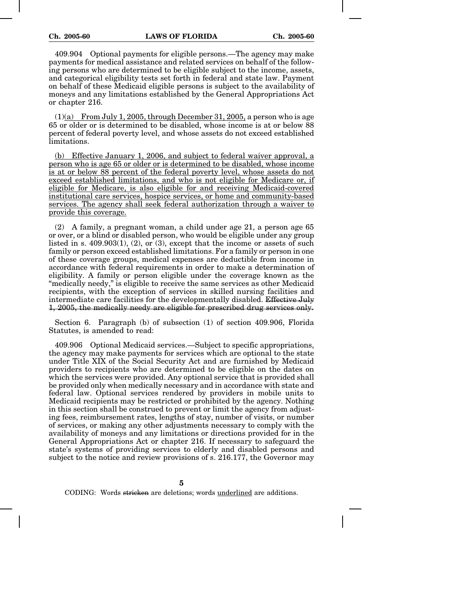409.904 Optional payments for eligible persons.—The agency may make payments for medical assistance and related services on behalf of the following persons who are determined to be eligible subject to the income, assets, and categorical eligibility tests set forth in federal and state law. Payment on behalf of these Medicaid eligible persons is subject to the availability of moneys and any limitations established by the General Appropriations Act or chapter 216.

 $(1)(a)$  From July 1, 2005, through December 31, 2005, a person who is age 65 or older or is determined to be disabled, whose income is at or below 88 percent of federal poverty level, and whose assets do not exceed established limitations.

(b) Effective January 1, 2006, and subject to federal waiver approval, a person who is age 65 or older or is determined to be disabled, whose income is at or below 88 percent of the federal poverty level, whose assets do not exceed established limitations, and who is not eligible for Medicare or, if eligible for Medicare, is also eligible for and receiving Medicaid-covered institutional care services, hospice services, or home and community-based services. The agency shall seek federal authorization through a waiver to provide this coverage.

(2) A family, a pregnant woman, a child under age 21, a person age 65 or over, or a blind or disabled person, who would be eligible under any group listed in s.  $409.903(1)$ ,  $(2)$ , or  $(3)$ , except that the income or assets of such family or person exceed established limitations. For a family or person in one of these coverage groups, medical expenses are deductible from income in accordance with federal requirements in order to make a determination of eligibility. A family or person eligible under the coverage known as the "medically needy," is eligible to receive the same services as other Medicaid recipients, with the exception of services in skilled nursing facilities and intermediate care facilities for the developmentally disabled. Effective July 1, 2005, the medically needy are eligible for prescribed drug services only.

Section 6. Paragraph (b) of subsection (1) of section 409.906, Florida Statutes, is amended to read:

409.906 Optional Medicaid services.—Subject to specific appropriations, the agency may make payments for services which are optional to the state under Title XIX of the Social Security Act and are furnished by Medicaid providers to recipients who are determined to be eligible on the dates on which the services were provided. Any optional service that is provided shall be provided only when medically necessary and in accordance with state and federal law. Optional services rendered by providers in mobile units to Medicaid recipients may be restricted or prohibited by the agency. Nothing in this section shall be construed to prevent or limit the agency from adjusting fees, reimbursement rates, lengths of stay, number of visits, or number of services, or making any other adjustments necessary to comply with the availability of moneys and any limitations or directions provided for in the General Appropriations Act or chapter 216. If necessary to safeguard the state's systems of providing services to elderly and disabled persons and subject to the notice and review provisions of s. 216.177, the Governor may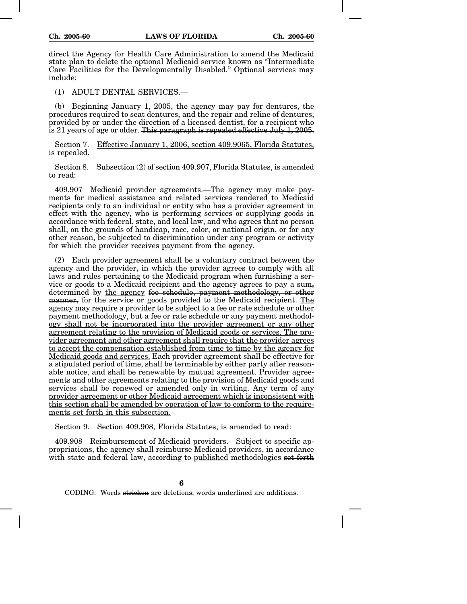direct the Agency for Health Care Administration to amend the Medicaid state plan to delete the optional Medicaid service known as "Intermediate Care Facilities for the Developmentally Disabled." Optional services may include:

(1) ADULT DENTAL SERVICES.—

(b) Beginning January 1, 2005, the agency may pay for dentures, the procedures required to seat dentures, and the repair and reline of dentures, provided by or under the direction of a licensed dentist, for a recipient who is 21 years of age or older. This paragraph is repealed effective July 1, 2005.

Section 7. Effective January 1, 2006, section 409.9065, Florida Statutes, is repealed.

Section 8. Subsection (2) of section 409.907, Florida Statutes, is amended to read:

409.907 Medicaid provider agreements.—The agency may make payments for medical assistance and related services rendered to Medicaid recipients only to an individual or entity who has a provider agreement in effect with the agency, who is performing services or supplying goods in accordance with federal, state, and local law, and who agrees that no person shall, on the grounds of handicap, race, color, or national origin, or for any other reason, be subjected to discrimination under any program or activity for which the provider receives payment from the agency.

(2) Each provider agreement shall be a voluntary contract between the agency and the provider, in which the provider agrees to comply with all laws and rules pertaining to the Medicaid program when furnishing a service or goods to a Medicaid recipient and the agency agrees to pay a  $\text{sum}_{\tau}$ determined by the agency fee schedule, payment methodology, or other manner, for the service or goods provided to the Medicaid recipient. The agency may require a provider to be subject to a fee or rate schedule or other payment methodology, but a fee or rate schedule or any payment methodology shall not be incorporated into the provider agreement or any other agreement relating to the provision of Medicaid goods or services. The provider agreement and other agreement shall require that the provider agrees to accept the compensation established from time to time by the agency for Medicaid goods and services. Each provider agreement shall be effective for a stipulated period of time, shall be terminable by either party after reasonable notice, and shall be renewable by mutual agreement. Provider agreements and other agreements relating to the provision of Medicaid goods and services shall be renewed or amended only in writing. Any term of any provider agreement or other Medicaid agreement which is inconsistent with this section shall be amended by operation of law to conform to the requirements set forth in this subsection.

Section 9. Section 409.908, Florida Statutes, is amended to read:

409.908 Reimbursement of Medicaid providers.—Subject to specific appropriations, the agency shall reimburse Medicaid providers, in accordance with state and federal law, according to published methodologies set forth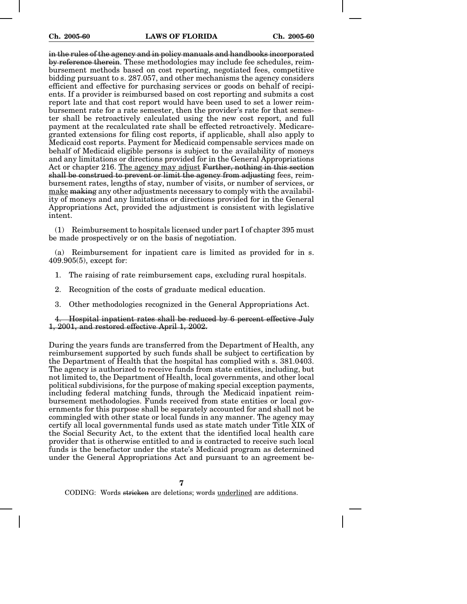in the rules of the agency and in policy manuals and handbooks incorporated by reference therein. These methodologies may include fee schedules, reimbursement methods based on cost reporting, negotiated fees, competitive bidding pursuant to s. 287.057, and other mechanisms the agency considers efficient and effective for purchasing services or goods on behalf of recipients. If a provider is reimbursed based on cost reporting and submits a cost report late and that cost report would have been used to set a lower reimbursement rate for a rate semester, then the provider's rate for that semester shall be retroactively calculated using the new cost report, and full payment at the recalculated rate shall be effected retroactively. Medicaregranted extensions for filing cost reports, if applicable, shall also apply to Medicaid cost reports. Payment for Medicaid compensable services made on behalf of Medicaid eligible persons is subject to the availability of moneys and any limitations or directions provided for in the General Appropriations Act or chapter 216. The agency may adjust Further, nothing in this section shall be construed to prevent or limit the agency from adjusting fees, reimbursement rates, lengths of stay, number of visits, or number of services, or make making any other adjustments necessary to comply with the availability of moneys and any limitations or directions provided for in the General Appropriations Act, provided the adjustment is consistent with legislative intent.

(1) Reimbursement to hospitals licensed under part I of chapter 395 must be made prospectively or on the basis of negotiation.

(a) Reimbursement for inpatient care is limited as provided for in s. 409.905(5), except for:

- 1. The raising of rate reimbursement caps, excluding rural hospitals.
- 2. Recognition of the costs of graduate medical education.
- 3. Other methodologies recognized in the General Appropriations Act.

4. Hospital inpatient rates shall be reduced by 6 percent effective July 1, 2001, and restored effective April 1, 2002.

During the years funds are transferred from the Department of Health, any reimbursement supported by such funds shall be subject to certification by the Department of Health that the hospital has complied with s. 381.0403. The agency is authorized to receive funds from state entities, including, but not limited to, the Department of Health, local governments, and other local political subdivisions, for the purpose of making special exception payments, including federal matching funds, through the Medicaid inpatient reimbursement methodologies. Funds received from state entities or local governments for this purpose shall be separately accounted for and shall not be commingled with other state or local funds in any manner. The agency may certify all local governmental funds used as state match under Title XIX of the Social Security Act, to the extent that the identified local health care provider that is otherwise entitled to and is contracted to receive such local funds is the benefactor under the state's Medicaid program as determined under the General Appropriations Act and pursuant to an agreement be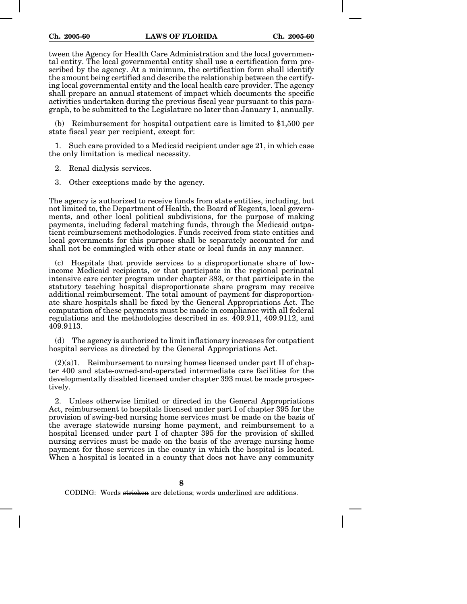tween the Agency for Health Care Administration and the local governmental entity. The local governmental entity shall use a certification form prescribed by the agency. At a minimum, the certification form shall identify the amount being certified and describe the relationship between the certifying local governmental entity and the local health care provider. The agency shall prepare an annual statement of impact which documents the specific activities undertaken during the previous fiscal year pursuant to this paragraph, to be submitted to the Legislature no later than January 1, annually.

(b) Reimbursement for hospital outpatient care is limited to \$1,500 per state fiscal year per recipient, except for:

Such care provided to a Medicaid recipient under age 21, in which case the only limitation is medical necessity.

2. Renal dialysis services.

3. Other exceptions made by the agency.

The agency is authorized to receive funds from state entities, including, but not limited to, the Department of Health, the Board of Regents, local governments, and other local political subdivisions, for the purpose of making payments, including federal matching funds, through the Medicaid outpatient reimbursement methodologies. Funds received from state entities and local governments for this purpose shall be separately accounted for and shall not be commingled with other state or local funds in any manner.

(c) Hospitals that provide services to a disproportionate share of lowincome Medicaid recipients, or that participate in the regional perinatal intensive care center program under chapter 383, or that participate in the statutory teaching hospital disproportionate share program may receive additional reimbursement. The total amount of payment for disproportionate share hospitals shall be fixed by the General Appropriations Act. The computation of these payments must be made in compliance with all federal regulations and the methodologies described in ss. 409.911, 409.9112, and 409.9113.

(d) The agency is authorized to limit inflationary increases for outpatient hospital services as directed by the General Appropriations Act.

 $(2)(a)1.$  Reimbursement to nursing homes licensed under part II of chapter 400 and state-owned-and-operated intermediate care facilities for the developmentally disabled licensed under chapter 393 must be made prospectively.

2. Unless otherwise limited or directed in the General Appropriations Act, reimbursement to hospitals licensed under part I of chapter 395 for the provision of swing-bed nursing home services must be made on the basis of the average statewide nursing home payment, and reimbursement to a hospital licensed under part I of chapter 395 for the provision of skilled nursing services must be made on the basis of the average nursing home payment for those services in the county in which the hospital is located. When a hospital is located in a county that does not have any community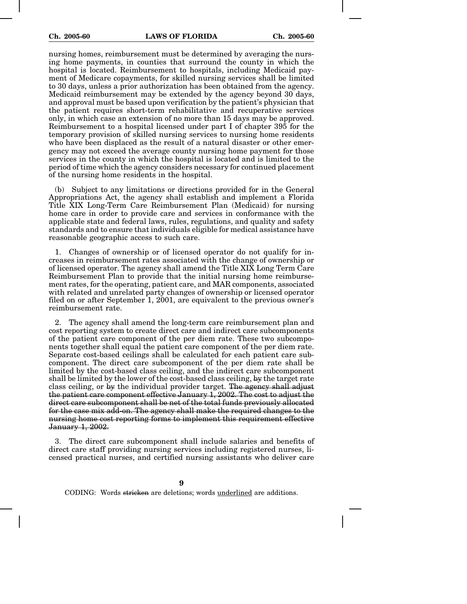nursing homes, reimbursement must be determined by averaging the nursing home payments, in counties that surround the county in which the hospital is located. Reimbursement to hospitals, including Medicaid payment of Medicare copayments, for skilled nursing services shall be limited to 30 days, unless a prior authorization has been obtained from the agency. Medicaid reimbursement may be extended by the agency beyond 30 days, and approval must be based upon verification by the patient's physician that the patient requires short-term rehabilitative and recuperative services only, in which case an extension of no more than 15 days may be approved. Reimbursement to a hospital licensed under part I of chapter 395 for the temporary provision of skilled nursing services to nursing home residents who have been displaced as the result of a natural disaster or other emergency may not exceed the average county nursing home payment for those services in the county in which the hospital is located and is limited to the period of time which the agency considers necessary for continued placement of the nursing home residents in the hospital.

(b) Subject to any limitations or directions provided for in the General Appropriations Act, the agency shall establish and implement a Florida Title XIX Long-Term Care Reimbursement Plan (Medicaid) for nursing home care in order to provide care and services in conformance with the applicable state and federal laws, rules, regulations, and quality and safety standards and to ensure that individuals eligible for medical assistance have reasonable geographic access to such care.

1. Changes of ownership or of licensed operator do not qualify for increases in reimbursement rates associated with the change of ownership or of licensed operator. The agency shall amend the Title XIX Long Term Care Reimbursement Plan to provide that the initial nursing home reimbursement rates, for the operating, patient care, and MAR components, associated with related and unrelated party changes of ownership or licensed operator filed on or after September 1, 2001, are equivalent to the previous owner's reimbursement rate.

2. The agency shall amend the long-term care reimbursement plan and cost reporting system to create direct care and indirect care subcomponents of the patient care component of the per diem rate. These two subcomponents together shall equal the patient care component of the per diem rate. Separate cost-based ceilings shall be calculated for each patient care subcomponent. The direct care subcomponent of the per diem rate shall be limited by the cost-based class ceiling, and the indirect care subcomponent shall be limited by the lower of the cost-based class ceiling, by the target rate class ceiling, or by the individual provider target. The agency shall adjust the patient care component effective January 1, 2002. The cost to adjust the direct care subcomponent shall be net of the total funds previously allocated for the case mix add-on. The agency shall make the required changes to the nursing home cost reporting forms to implement this requirement effective January 1, 2002.

3. The direct care subcomponent shall include salaries and benefits of direct care staff providing nursing services including registered nurses, licensed practical nurses, and certified nursing assistants who deliver care

**9**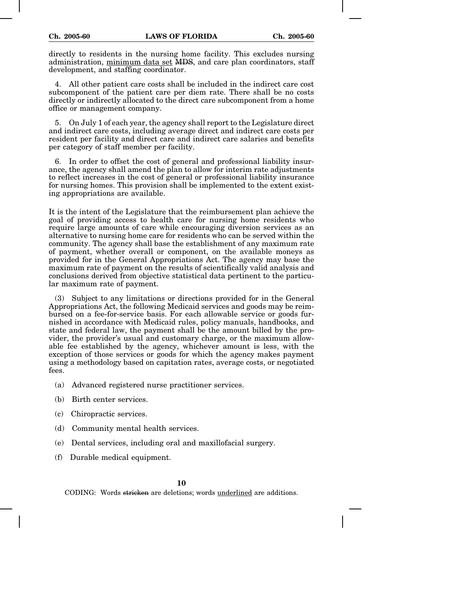directly to residents in the nursing home facility. This excludes nursing administration, minimum data set MDS, and care plan coordinators, staff development, and staffing coordinator.

4. All other patient care costs shall be included in the indirect care cost subcomponent of the patient care per diem rate. There shall be no costs directly or indirectly allocated to the direct care subcomponent from a home office or management company.

5. On July 1 of each year, the agency shall report to the Legislature direct and indirect care costs, including average direct and indirect care costs per resident per facility and direct care and indirect care salaries and benefits per category of staff member per facility.

6. In order to offset the cost of general and professional liability insurance, the agency shall amend the plan to allow for interim rate adjustments to reflect increases in the cost of general or professional liability insurance for nursing homes. This provision shall be implemented to the extent existing appropriations are available.

It is the intent of the Legislature that the reimbursement plan achieve the goal of providing access to health care for nursing home residents who require large amounts of care while encouraging diversion services as an alternative to nursing home care for residents who can be served within the community. The agency shall base the establishment of any maximum rate of payment, whether overall or component, on the available moneys as provided for in the General Appropriations Act. The agency may base the maximum rate of payment on the results of scientifically valid analysis and conclusions derived from objective statistical data pertinent to the particular maximum rate of payment.

(3) Subject to any limitations or directions provided for in the General Appropriations Act, the following Medicaid services and goods may be reimbursed on a fee-for-service basis. For each allowable service or goods furnished in accordance with Medicaid rules, policy manuals, handbooks, and state and federal law, the payment shall be the amount billed by the provider, the provider's usual and customary charge, or the maximum allowable fee established by the agency, whichever amount is less, with the exception of those services or goods for which the agency makes payment using a methodology based on capitation rates, average costs, or negotiated fees.

- (a) Advanced registered nurse practitioner services.
- (b) Birth center services.
- (c) Chiropractic services.
- (d) Community mental health services.
- (e) Dental services, including oral and maxillofacial surgery.
- (f) Durable medical equipment.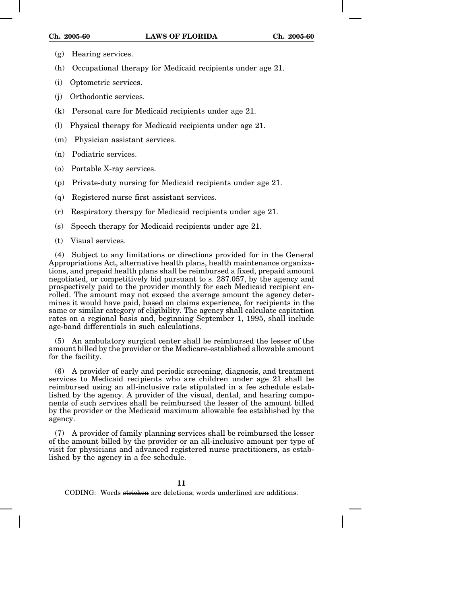- (g) Hearing services.
- (h) Occupational therapy for Medicaid recipients under age 21.
- (i) Optometric services.
- (j) Orthodontic services.
- (k) Personal care for Medicaid recipients under age 21.
- (l) Physical therapy for Medicaid recipients under age 21.
- (m) Physician assistant services.
- (n) Podiatric services.
- (o) Portable X-ray services.
- (p) Private-duty nursing for Medicaid recipients under age 21.
- (q) Registered nurse first assistant services.
- (r) Respiratory therapy for Medicaid recipients under age 21.
- (s) Speech therapy for Medicaid recipients under age 21.
- (t) Visual services.

(4) Subject to any limitations or directions provided for in the General Appropriations Act, alternative health plans, health maintenance organizations, and prepaid health plans shall be reimbursed a fixed, prepaid amount negotiated, or competitively bid pursuant to s. 287.057, by the agency and prospectively paid to the provider monthly for each Medicaid recipient enrolled. The amount may not exceed the average amount the agency determines it would have paid, based on claims experience, for recipients in the same or similar category of eligibility. The agency shall calculate capitation rates on a regional basis and, beginning September 1, 1995, shall include age-band differentials in such calculations.

(5) An ambulatory surgical center shall be reimbursed the lesser of the amount billed by the provider or the Medicare-established allowable amount for the facility.

(6) A provider of early and periodic screening, diagnosis, and treatment services to Medicaid recipients who are children under age 21 shall be reimbursed using an all-inclusive rate stipulated in a fee schedule established by the agency. A provider of the visual, dental, and hearing components of such services shall be reimbursed the lesser of the amount billed by the provider or the Medicaid maximum allowable fee established by the agency.

(7) A provider of family planning services shall be reimbursed the lesser of the amount billed by the provider or an all-inclusive amount per type of visit for physicians and advanced registered nurse practitioners, as established by the agency in a fee schedule.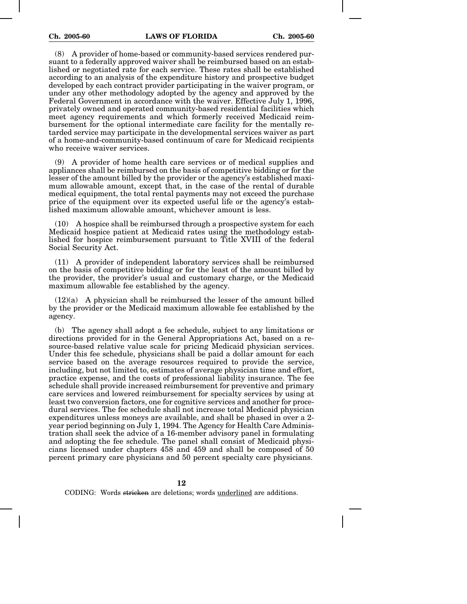(8) A provider of home-based or community-based services rendered pursuant to a federally approved waiver shall be reimbursed based on an established or negotiated rate for each service. These rates shall be established according to an analysis of the expenditure history and prospective budget developed by each contract provider participating in the waiver program, or under any other methodology adopted by the agency and approved by the Federal Government in accordance with the waiver. Effective July 1, 1996, privately owned and operated community-based residential facilities which meet agency requirements and which formerly received Medicaid reimbursement for the optional intermediate care facility for the mentally retarded service may participate in the developmental services waiver as part of a home-and-community-based continuum of care for Medicaid recipients who receive waiver services.

(9) A provider of home health care services or of medical supplies and appliances shall be reimbursed on the basis of competitive bidding or for the lesser of the amount billed by the provider or the agency's established maximum allowable amount, except that, in the case of the rental of durable medical equipment, the total rental payments may not exceed the purchase price of the equipment over its expected useful life or the agency's established maximum allowable amount, whichever amount is less.

(10) A hospice shall be reimbursed through a prospective system for each Medicaid hospice patient at Medicaid rates using the methodology established for hospice reimbursement pursuant to Title XVIII of the federal Social Security Act.

(11) A provider of independent laboratory services shall be reimbursed on the basis of competitive bidding or for the least of the amount billed by the provider, the provider's usual and customary charge, or the Medicaid maximum allowable fee established by the agency.

 $(12)(a)$  A physician shall be reimbursed the lesser of the amount billed by the provider or the Medicaid maximum allowable fee established by the agency.

(b) The agency shall adopt a fee schedule, subject to any limitations or directions provided for in the General Appropriations Act, based on a resource-based relative value scale for pricing Medicaid physician services. Under this fee schedule, physicians shall be paid a dollar amount for each service based on the average resources required to provide the service, including, but not limited to, estimates of average physician time and effort, practice expense, and the costs of professional liability insurance. The fee schedule shall provide increased reimbursement for preventive and primary care services and lowered reimbursement for specialty services by using at least two conversion factors, one for cognitive services and another for procedural services. The fee schedule shall not increase total Medicaid physician expenditures unless moneys are available, and shall be phased in over a 2 year period beginning on July 1, 1994. The Agency for Health Care Administration shall seek the advice of a 16-member advisory panel in formulating and adopting the fee schedule. The panel shall consist of Medicaid physicians licensed under chapters 458 and 459 and shall be composed of 50 percent primary care physicians and 50 percent specialty care physicians.

**12**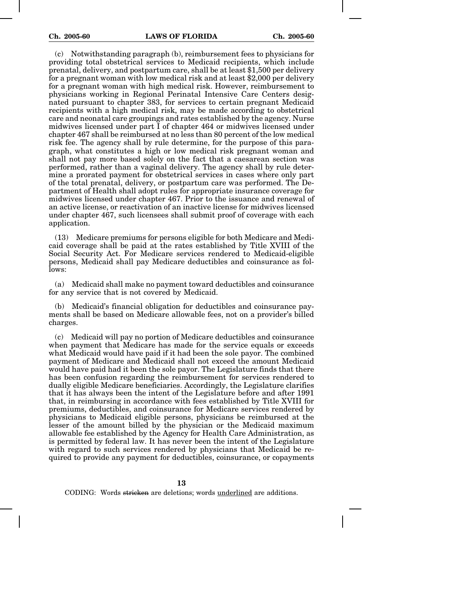(c) Notwithstanding paragraph (b), reimbursement fees to physicians for providing total obstetrical services to Medicaid recipients, which include prenatal, delivery, and postpartum care, shall be at least \$1,500 per delivery for a pregnant woman with low medical risk and at least \$2,000 per delivery for a pregnant woman with high medical risk. However, reimbursement to physicians working in Regional Perinatal Intensive Care Centers designated pursuant to chapter 383, for services to certain pregnant Medicaid recipients with a high medical risk, may be made according to obstetrical care and neonatal care groupings and rates established by the agency. Nurse midwives licensed under part I of chapter 464 or midwives licensed under chapter 467 shall be reimbursed at no less than 80 percent of the low medical risk fee. The agency shall by rule determine, for the purpose of this paragraph, what constitutes a high or low medical risk pregnant woman and shall not pay more based solely on the fact that a caesarean section was performed, rather than a vaginal delivery. The agency shall by rule determine a prorated payment for obstetrical services in cases where only part of the total prenatal, delivery, or postpartum care was performed. The Department of Health shall adopt rules for appropriate insurance coverage for midwives licensed under chapter 467. Prior to the issuance and renewal of an active license, or reactivation of an inactive license for midwives licensed under chapter 467, such licensees shall submit proof of coverage with each application.

(13) Medicare premiums for persons eligible for both Medicare and Medicaid coverage shall be paid at the rates established by Title XVIII of the Social Security Act. For Medicare services rendered to Medicaid-eligible persons, Medicaid shall pay Medicare deductibles and coinsurance as follows:

(a) Medicaid shall make no payment toward deductibles and coinsurance for any service that is not covered by Medicaid.

(b) Medicaid's financial obligation for deductibles and coinsurance payments shall be based on Medicare allowable fees, not on a provider's billed charges.

(c) Medicaid will pay no portion of Medicare deductibles and coinsurance when payment that Medicare has made for the service equals or exceeds what Medicaid would have paid if it had been the sole payor. The combined payment of Medicare and Medicaid shall not exceed the amount Medicaid would have paid had it been the sole payor. The Legislature finds that there has been confusion regarding the reimbursement for services rendered to dually eligible Medicare beneficiaries. Accordingly, the Legislature clarifies that it has always been the intent of the Legislature before and after 1991 that, in reimbursing in accordance with fees established by Title XVIII for premiums, deductibles, and coinsurance for Medicare services rendered by physicians to Medicaid eligible persons, physicians be reimbursed at the lesser of the amount billed by the physician or the Medicaid maximum allowable fee established by the Agency for Health Care Administration, as is permitted by federal law. It has never been the intent of the Legislature with regard to such services rendered by physicians that Medicaid be required to provide any payment for deductibles, coinsurance, or copayments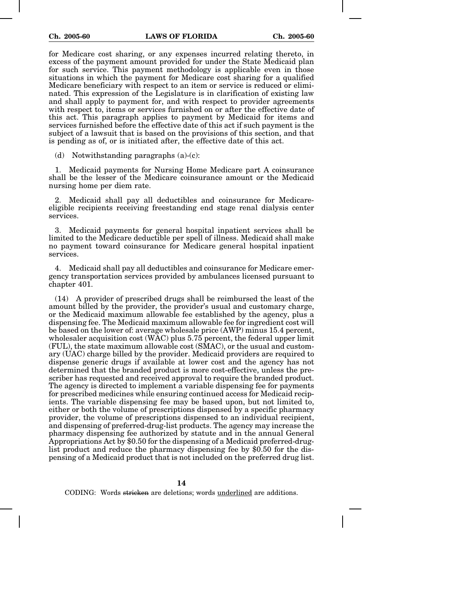for Medicare cost sharing, or any expenses incurred relating thereto, in excess of the payment amount provided for under the State Medicaid plan for such service. This payment methodology is applicable even in those situations in which the payment for Medicare cost sharing for a qualified Medicare beneficiary with respect to an item or service is reduced or eliminated. This expression of the Legislature is in clarification of existing law and shall apply to payment for, and with respect to provider agreements with respect to, items or services furnished on or after the effective date of this act. This paragraph applies to payment by Medicaid for items and services furnished before the effective date of this act if such payment is the subject of a lawsuit that is based on the provisions of this section, and that is pending as of, or is initiated after, the effective date of this act.

(d) Notwithstanding paragraphs (a)-(c):

1. Medicaid payments for Nursing Home Medicare part A coinsurance shall be the lesser of the Medicare coinsurance amount or the Medicaid nursing home per diem rate.

2. Medicaid shall pay all deductibles and coinsurance for Medicareeligible recipients receiving freestanding end stage renal dialysis center services.

3. Medicaid payments for general hospital inpatient services shall be limited to the Medicare deductible per spell of illness. Medicaid shall make no payment toward coinsurance for Medicare general hospital inpatient services.

4. Medicaid shall pay all deductibles and coinsurance for Medicare emergency transportation services provided by ambulances licensed pursuant to chapter 401.

(14) A provider of prescribed drugs shall be reimbursed the least of the amount billed by the provider, the provider's usual and customary charge, or the Medicaid maximum allowable fee established by the agency, plus a dispensing fee. The Medicaid maximum allowable fee for ingredient cost will be based on the lower of: average wholesale price (AWP) minus 15.4 percent, wholesaler acquisition cost (WAC) plus 5.75 percent, the federal upper limit (FUL), the state maximum allowable cost (SMAC), or the usual and customary (UAC) charge billed by the provider. Medicaid providers are required to dispense generic drugs if available at lower cost and the agency has not determined that the branded product is more cost-effective, unless the prescriber has requested and received approval to require the branded product. The agency is directed to implement a variable dispensing fee for payments for prescribed medicines while ensuring continued access for Medicaid recipients. The variable dispensing fee may be based upon, but not limited to, either or both the volume of prescriptions dispensed by a specific pharmacy provider, the volume of prescriptions dispensed to an individual recipient, and dispensing of preferred-drug-list products. The agency may increase the pharmacy dispensing fee authorized by statute and in the annual General Appropriations Act by \$0.50 for the dispensing of a Medicaid preferred-druglist product and reduce the pharmacy dispensing fee by \$0.50 for the dispensing of a Medicaid product that is not included on the preferred drug list.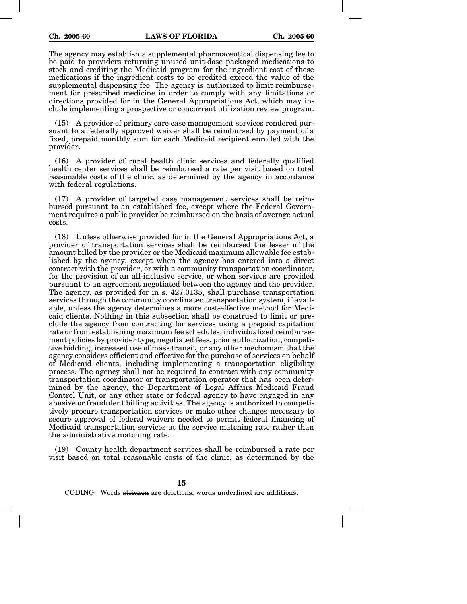The agency may establish a supplemental pharmaceutical dispensing fee to be paid to providers returning unused unit-dose packaged medications to stock and crediting the Medicaid program for the ingredient cost of those medications if the ingredient costs to be credited exceed the value of the supplemental dispensing fee. The agency is authorized to limit reimbursement for prescribed medicine in order to comply with any limitations or directions provided for in the General Appropriations Act, which may include implementing a prospective or concurrent utilization review program.

(15) A provider of primary care case management services rendered pursuant to a federally approved waiver shall be reimbursed by payment of a fixed, prepaid monthly sum for each Medicaid recipient enrolled with the provider.

(16) A provider of rural health clinic services and federally qualified health center services shall be reimbursed a rate per visit based on total reasonable costs of the clinic, as determined by the agency in accordance with federal regulations.

(17) A provider of targeted case management services shall be reimbursed pursuant to an established fee, except where the Federal Government requires a public provider be reimbursed on the basis of average actual costs.

(18) Unless otherwise provided for in the General Appropriations Act, a provider of transportation services shall be reimbursed the lesser of the amount billed by the provider or the Medicaid maximum allowable fee established by the agency, except when the agency has entered into a direct contract with the provider, or with a community transportation coordinator, for the provision of an all-inclusive service, or when services are provided pursuant to an agreement negotiated between the agency and the provider. The agency, as provided for in s. 427.0135, shall purchase transportation services through the community coordinated transportation system, if available, unless the agency determines a more cost-effective method for Medicaid clients. Nothing in this subsection shall be construed to limit or preclude the agency from contracting for services using a prepaid capitation rate or from establishing maximum fee schedules, individualized reimbursement policies by provider type, negotiated fees, prior authorization, competitive bidding, increased use of mass transit, or any other mechanism that the agency considers efficient and effective for the purchase of services on behalf of Medicaid clients, including implementing a transportation eligibility process. The agency shall not be required to contract with any community transportation coordinator or transportation operator that has been determined by the agency, the Department of Legal Affairs Medicaid Fraud Control Unit, or any other state or federal agency to have engaged in any abusive or fraudulent billing activities. The agency is authorized to competitively procure transportation services or make other changes necessary to secure approval of federal waivers needed to permit federal financing of Medicaid transportation services at the service matching rate rather than the administrative matching rate.

(19) County health department services shall be reimbursed a rate per visit based on total reasonable costs of the clinic, as determined by the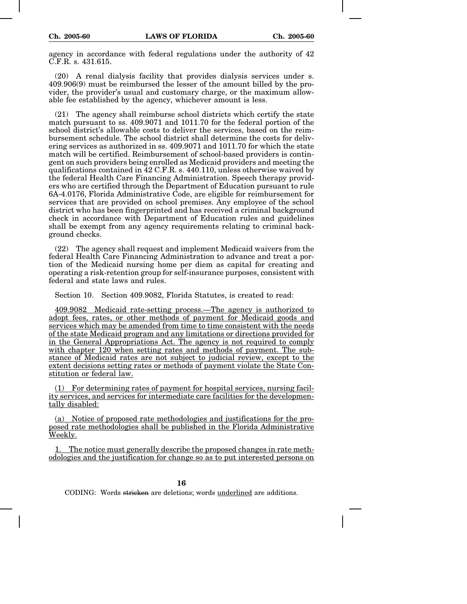agency in accordance with federal regulations under the authority of 42 C.F.R. s. 431.615.

(20) A renal dialysis facility that provides dialysis services under s. 409.906(9) must be reimbursed the lesser of the amount billed by the provider, the provider's usual and customary charge, or the maximum allowable fee established by the agency, whichever amount is less.

(21) The agency shall reimburse school districts which certify the state match pursuant to ss. 409.9071 and 1011.70 for the federal portion of the school district's allowable costs to deliver the services, based on the reimbursement schedule. The school district shall determine the costs for delivering services as authorized in ss. 409.9071 and 1011.70 for which the state match will be certified. Reimbursement of school-based providers is contingent on such providers being enrolled as Medicaid providers and meeting the qualifications contained in 42 C.F.R. s. 440.110, unless otherwise waived by the federal Health Care Financing Administration. Speech therapy providers who are certified through the Department of Education pursuant to rule 6A-4.0176, Florida Administrative Code, are eligible for reimbursement for services that are provided on school premises. Any employee of the school district who has been fingerprinted and has received a criminal background check in accordance with Department of Education rules and guidelines shall be exempt from any agency requirements relating to criminal background checks.

(22) The agency shall request and implement Medicaid waivers from the federal Health Care Financing Administration to advance and treat a portion of the Medicaid nursing home per diem as capital for creating and operating a risk-retention group for self-insurance purposes, consistent with federal and state laws and rules.

Section 10. Section 409.9082, Florida Statutes, is created to read:

409.9082 Medicaid rate-setting process.—The agency is authorized to adopt fees, rates, or other methods of payment for Medicaid goods and services which may be amended from time to time consistent with the needs of the state Medicaid program and any limitations or directions provided for in the General Appropriations Act. The agency is not required to comply with chapter 120 when setting rates and methods of payment. The substance of Medicaid rates are not subject to judicial review, except to the extent decisions setting rates or methods of payment violate the State Constitution or federal law.

(1) For determining rates of payment for hospital services, nursing facility services, and services for intermediate care facilities for the developmentally disabled:

(a) Notice of proposed rate methodologies and justifications for the proposed rate methodologies shall be published in the Florida Administrative Weekly.

1. The notice must generally describe the proposed changes in rate methodologies and the justification for change so as to put interested persons on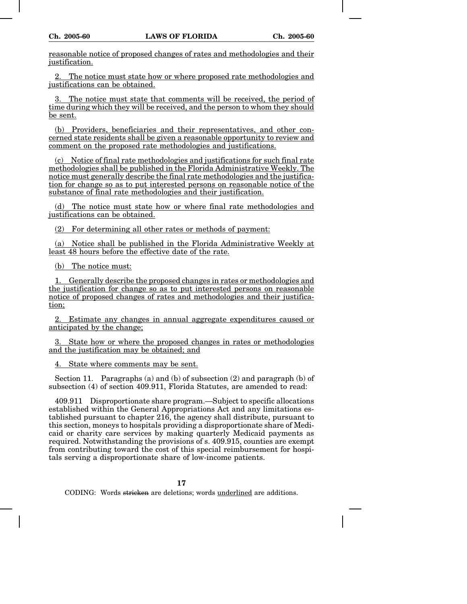reasonable notice of proposed changes of rates and methodologies and their justification.

2. The notice must state how or where proposed rate methodologies and justifications can be obtained.

The notice must state that comments will be received, the period of time during which they will be received, and the person to whom they should be sent.

(b) Providers, beneficiaries and their representatives, and other concerned state residents shall be given a reasonable opportunity to review and comment on the proposed rate methodologies and justifications.

(c) Notice of final rate methodologies and justifications for such final rate methodologies shall be published in the Florida Administrative Weekly. The notice must generally describe the final rate methodologies and the justification for change so as to put interested persons on reasonable notice of the substance of final rate methodologies and their justification.

(d) The notice must state how or where final rate methodologies and justifications can be obtained.

(2) For determining all other rates or methods of payment:

(a) Notice shall be published in the Florida Administrative Weekly at least 48 hours before the effective date of the rate.

(b) The notice must:

1. Generally describe the proposed changes in rates or methodologies and the justification for change so as to put interested persons on reasonable notice of proposed changes of rates and methodologies and their justification;

2. Estimate any changes in annual aggregate expenditures caused or anticipated by the change;

3. State how or where the proposed changes in rates or methodologies and the justification may be obtained; and

4. State where comments may be sent.

Section 11. Paragraphs (a) and (b) of subsection  $(2)$  and paragraph (b) of subsection (4) of section 409.911, Florida Statutes, are amended to read:

409.911 Disproportionate share program.—Subject to specific allocations established within the General Appropriations Act and any limitations established pursuant to chapter 216, the agency shall distribute, pursuant to this section, moneys to hospitals providing a disproportionate share of Medicaid or charity care services by making quarterly Medicaid payments as required. Notwithstanding the provisions of s. 409.915, counties are exempt from contributing toward the cost of this special reimbursement for hospitals serving a disproportionate share of low-income patients.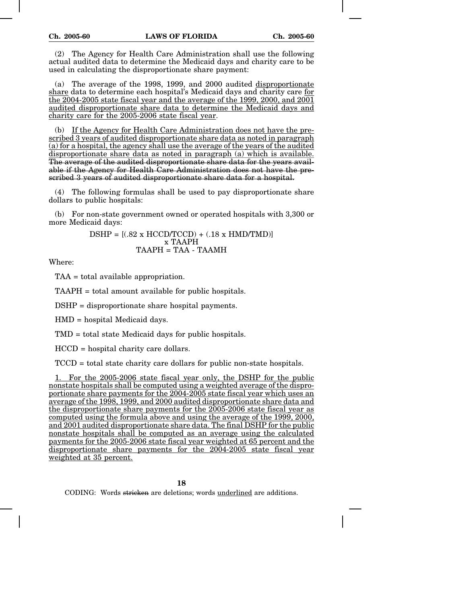(2) The Agency for Health Care Administration shall use the following actual audited data to determine the Medicaid days and charity care to be used in calculating the disproportionate share payment:

(a) The average of the 1998, 1999, and 2000 audited disproportionate share data to determine each hospital's Medicaid days and charity care for the 2004-2005 state fiscal year and the average of the 1999, 2000, and 2001 audited disproportionate share data to determine the Medicaid days and charity care for the 2005-2006 state fiscal year.

(b) If the Agency for Health Care Administration does not have the prescribed 3 years of audited disproportionate share data as noted in paragraph (a) for a hospital, the agency shall use the average of the years of the audited disproportionate share data as noted in paragraph (a) which is available. The average of the audited disproportionate share data for the years available if the Agency for Health Care Administration does not have the prescribed 3 years of audited disproportionate share data for a hospital.

(4) The following formulas shall be used to pay disproportionate share dollars to public hospitals:

(b) For non-state government owned or operated hospitals with 3,300 or more Medicaid days:

> $DSHP = [(.82 \times HCCD/TCCD) + (.18 \times HMD/TMD)]$ x TAAPH  $TAAPH = TAA - TAAMH$

Where:

TAA = total available appropriation.

TAAPH = total amount available for public hospitals.

DSHP = disproportionate share hospital payments.

HMD = hospital Medicaid days.

TMD = total state Medicaid days for public hospitals.

HCCD = hospital charity care dollars.

TCCD = total state charity care dollars for public non-state hospitals.

1. For the 2005-2006 state fiscal year only, the DSHP for the public nonstate hospitals shall be computed using a weighted average of the disproportionate share payments for the 2004-2005 state fiscal year which uses an average of the 1998, 1999, and 2000 audited disproportionate share data and the disproportionate share payments for the 2005-2006 state fiscal year as computed using the formula above and using the average of the 1999, 2000, and 2001 audited disproportionate share data. The final DSHP for the public nonstate hospitals shall be computed as an average using the calculated payments for the 2005-2006 state fiscal year weighted at 65 percent and the disproportionate share payments for the 2004-2005 state fiscal year weighted at 35 percent.

**18**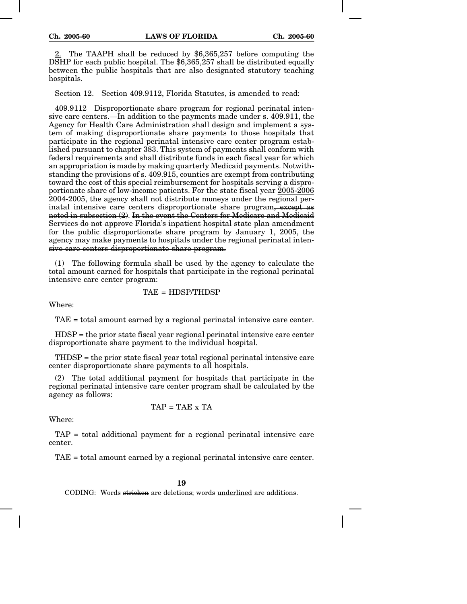2. The TAAPH shall be reduced by \$6,365,257 before computing the DSHP for each public hospital. The \$6,365,257 shall be distributed equally between the public hospitals that are also designated statutory teaching hospitals.

Section 12. Section 409.9112, Florida Statutes, is amended to read:

409.9112 Disproportionate share program for regional perinatal intensive care centers.—In addition to the payments made under s. 409.911, the Agency for Health Care Administration shall design and implement a system of making disproportionate share payments to those hospitals that participate in the regional perinatal intensive care center program established pursuant to chapter 383. This system of payments shall conform with federal requirements and shall distribute funds in each fiscal year for which an appropriation is made by making quarterly Medicaid payments. Notwithstanding the provisions of s. 409.915, counties are exempt from contributing toward the cost of this special reimbursement for hospitals serving a disproportionate share of low-income patients. For the state fiscal year 2005-2006 2004-2005, the agency shall not distribute moneys under the regional perinatal intensive care centers disproportionate share program, except as noted in subsection (2). In the event the Centers for Medicare and Medicaid Services do not approve Florida's inpatient hospital state plan amendment for the public disproportionate share program by January 1, 2005, the agency may make payments to hospitals under the regional perinatal intensive care centers disproportionate share program.

(1) The following formula shall be used by the agency to calculate the total amount earned for hospitals that participate in the regional perinatal intensive care center program:

## TAE = HDSP/THDSP

Where:

TAE = total amount earned by a regional perinatal intensive care center.

HDSP = the prior state fiscal year regional perinatal intensive care center disproportionate share payment to the individual hospital.

THDSP = the prior state fiscal year total regional perinatal intensive care center disproportionate share payments to all hospitals.

(2) The total additional payment for hospitals that participate in the regional perinatal intensive care center program shall be calculated by the agency as follows:

$$
TAP = TAE \times TA
$$

Where:

TAP = total additional payment for a regional perinatal intensive care center.

TAE = total amount earned by a regional perinatal intensive care center.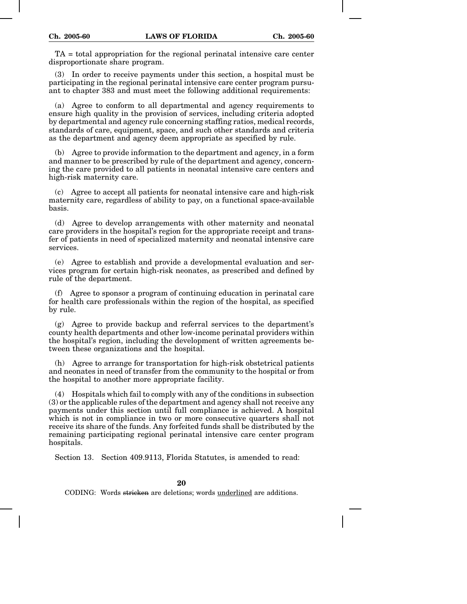TA = total appropriation for the regional perinatal intensive care center disproportionate share program.

(3) In order to receive payments under this section, a hospital must be participating in the regional perinatal intensive care center program pursuant to chapter 383 and must meet the following additional requirements:

(a) Agree to conform to all departmental and agency requirements to ensure high quality in the provision of services, including criteria adopted by departmental and agency rule concerning staffing ratios, medical records, standards of care, equipment, space, and such other standards and criteria as the department and agency deem appropriate as specified by rule.

(b) Agree to provide information to the department and agency, in a form and manner to be prescribed by rule of the department and agency, concerning the care provided to all patients in neonatal intensive care centers and high-risk maternity care.

(c) Agree to accept all patients for neonatal intensive care and high-risk maternity care, regardless of ability to pay, on a functional space-available basis.

(d) Agree to develop arrangements with other maternity and neonatal care providers in the hospital's region for the appropriate receipt and transfer of patients in need of specialized maternity and neonatal intensive care services.

(e) Agree to establish and provide a developmental evaluation and services program for certain high-risk neonates, as prescribed and defined by rule of the department.

(f) Agree to sponsor a program of continuing education in perinatal care for health care professionals within the region of the hospital, as specified by rule.

(g) Agree to provide backup and referral services to the department's county health departments and other low-income perinatal providers within the hospital's region, including the development of written agreements between these organizations and the hospital.

(h) Agree to arrange for transportation for high-risk obstetrical patients and neonates in need of transfer from the community to the hospital or from the hospital to another more appropriate facility.

(4) Hospitals which fail to comply with any of the conditions in subsection (3) or the applicable rules of the department and agency shall not receive any payments under this section until full compliance is achieved. A hospital which is not in compliance in two or more consecutive quarters shall not receive its share of the funds. Any forfeited funds shall be distributed by the remaining participating regional perinatal intensive care center program hospitals.

Section 13. Section 409.9113, Florida Statutes, is amended to read: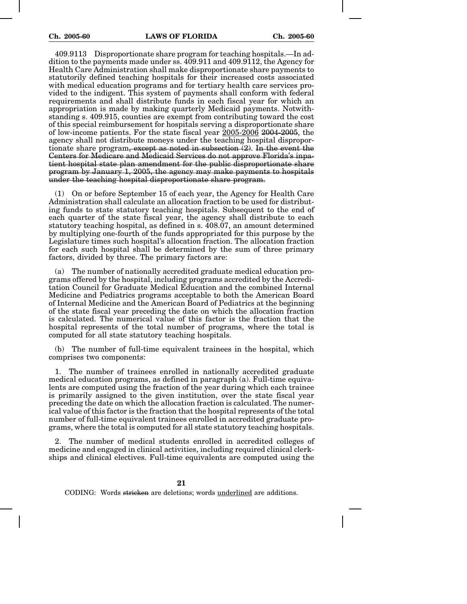409.9113 Disproportionate share program for teaching hospitals.—In addition to the payments made under ss. 409.911 and 409.9112, the Agency for Health Care Administration shall make disproportionate share payments to statutorily defined teaching hospitals for their increased costs associated with medical education programs and for tertiary health care services provided to the indigent. This system of payments shall conform with federal requirements and shall distribute funds in each fiscal year for which an appropriation is made by making quarterly Medicaid payments. Notwithstanding s. 409.915, counties are exempt from contributing toward the cost of this special reimbursement for hospitals serving a disproportionate share of low-income patients. For the state fiscal year 2005-2006 2004-2005, the agency shall not distribute moneys under the teaching hospital disproportionate share program, except as noted in subsection (2). In the event the Centers for Medicare and Medicaid Services do not approve Florida's inpatient hospital state plan amendment for the public disproportionate share program by January 1, 2005, the agency may make payments to hospitals under the teaching hospital disproportionate share program.

(1) On or before September 15 of each year, the Agency for Health Care Administration shall calculate an allocation fraction to be used for distributing funds to state statutory teaching hospitals. Subsequent to the end of each quarter of the state fiscal year, the agency shall distribute to each statutory teaching hospital, as defined in s. 408.07, an amount determined by multiplying one-fourth of the funds appropriated for this purpose by the Legislature times such hospital's allocation fraction. The allocation fraction for each such hospital shall be determined by the sum of three primary factors, divided by three. The primary factors are:

(a) The number of nationally accredited graduate medical education programs offered by the hospital, including programs accredited by the Accreditation Council for Graduate Medical Education and the combined Internal Medicine and Pediatrics programs acceptable to both the American Board of Internal Medicine and the American Board of Pediatrics at the beginning of the state fiscal year preceding the date on which the allocation fraction is calculated. The numerical value of this factor is the fraction that the hospital represents of the total number of programs, where the total is computed for all state statutory teaching hospitals.

(b) The number of full-time equivalent trainees in the hospital, which comprises two components:

1. The number of trainees enrolled in nationally accredited graduate medical education programs, as defined in paragraph (a). Full-time equivalents are computed using the fraction of the year during which each trainee is primarily assigned to the given institution, over the state fiscal year preceding the date on which the allocation fraction is calculated. The numerical value of this factor is the fraction that the hospital represents of the total number of full-time equivalent trainees enrolled in accredited graduate programs, where the total is computed for all state statutory teaching hospitals.

2. The number of medical students enrolled in accredited colleges of medicine and engaged in clinical activities, including required clinical clerkships and clinical electives. Full-time equivalents are computed using the

**21**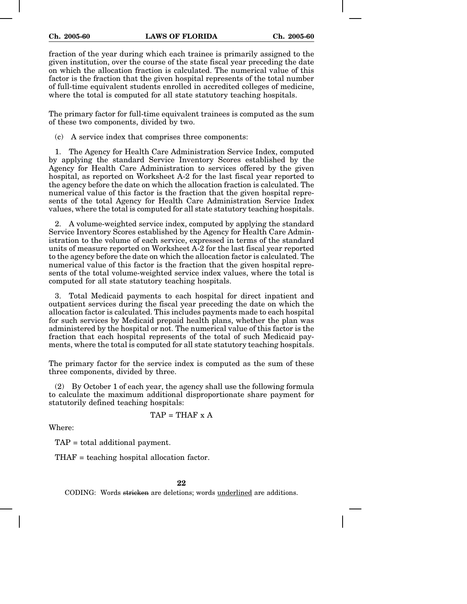fraction of the year during which each trainee is primarily assigned to the given institution, over the course of the state fiscal year preceding the date on which the allocation fraction is calculated. The numerical value of this factor is the fraction that the given hospital represents of the total number of full-time equivalent students enrolled in accredited colleges of medicine, where the total is computed for all state statutory teaching hospitals.

The primary factor for full-time equivalent trainees is computed as the sum of these two components, divided by two.

(c) A service index that comprises three components:

1. The Agency for Health Care Administration Service Index, computed by applying the standard Service Inventory Scores established by the Agency for Health Care Administration to services offered by the given hospital, as reported on Worksheet A-2 for the last fiscal year reported to the agency before the date on which the allocation fraction is calculated. The numerical value of this factor is the fraction that the given hospital represents of the total Agency for Health Care Administration Service Index values, where the total is computed for all state statutory teaching hospitals.

2. A volume-weighted service index, computed by applying the standard Service Inventory Scores established by the Agency for Health Care Administration to the volume of each service, expressed in terms of the standard units of measure reported on Worksheet A-2 for the last fiscal year reported to the agency before the date on which the allocation factor is calculated. The numerical value of this factor is the fraction that the given hospital represents of the total volume-weighted service index values, where the total is computed for all state statutory teaching hospitals.

3. Total Medicaid payments to each hospital for direct inpatient and outpatient services during the fiscal year preceding the date on which the allocation factor is calculated. This includes payments made to each hospital for such services by Medicaid prepaid health plans, whether the plan was administered by the hospital or not. The numerical value of this factor is the fraction that each hospital represents of the total of such Medicaid payments, where the total is computed for all state statutory teaching hospitals.

The primary factor for the service index is computed as the sum of these three components, divided by three.

(2) By October 1 of each year, the agency shall use the following formula to calculate the maximum additional disproportionate share payment for statutorily defined teaching hospitals:

$$
TAP = THAF \times A
$$

Where:

TAP = total additional payment.

THAF = teaching hospital allocation factor.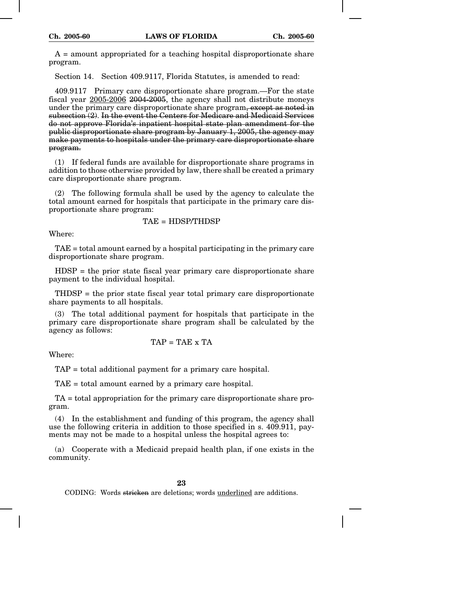$A =$  amount appropriated for a teaching hospital disproportionate share program.

Section 14. Section 409.9117, Florida Statutes, is amended to read:

409.9117 Primary care disproportionate share program.—For the state fiscal year 2005-2006 2004-2005, the agency shall not distribute moneys under the primary care disproportionate share program, except as noted in subsection (2). In the event the Centers for Medicare and Medicaid Services do not approve Florida's inpatient hospital state plan amendment for the public disproportionate share program by January 1, 2005, the agency may make payments to hospitals under the primary care disproportionate share program.

(1) If federal funds are available for disproportionate share programs in addition to those otherwise provided by law, there shall be created a primary care disproportionate share program.

(2) The following formula shall be used by the agency to calculate the total amount earned for hospitals that participate in the primary care disproportionate share program:

$$
TAE = HDSP/THDSP
$$

Where:

TAE = total amount earned by a hospital participating in the primary care disproportionate share program.

HDSP = the prior state fiscal year primary care disproportionate share payment to the individual hospital.

THDSP = the prior state fiscal year total primary care disproportionate share payments to all hospitals.

(3) The total additional payment for hospitals that participate in the primary care disproportionate share program shall be calculated by the agency as follows:

$$
TAP = TAE \times TA
$$

Where:

TAP = total additional payment for a primary care hospital.

TAE = total amount earned by a primary care hospital.

TA = total appropriation for the primary care disproportionate share program.

(4) In the establishment and funding of this program, the agency shall use the following criteria in addition to those specified in s. 409.911, payments may not be made to a hospital unless the hospital agrees to:

(a) Cooperate with a Medicaid prepaid health plan, if one exists in the community.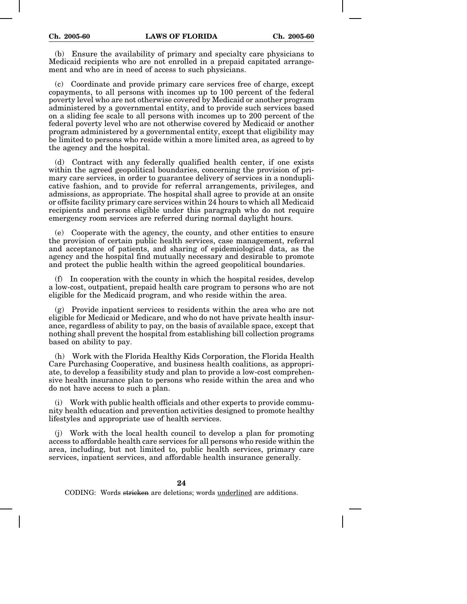(b) Ensure the availability of primary and specialty care physicians to Medicaid recipients who are not enrolled in a prepaid capitated arrangement and who are in need of access to such physicians.

(c) Coordinate and provide primary care services free of charge, except copayments, to all persons with incomes up to 100 percent of the federal poverty level who are not otherwise covered by Medicaid or another program administered by a governmental entity, and to provide such services based on a sliding fee scale to all persons with incomes up to 200 percent of the federal poverty level who are not otherwise covered by Medicaid or another program administered by a governmental entity, except that eligibility may be limited to persons who reside within a more limited area, as agreed to by the agency and the hospital.

(d) Contract with any federally qualified health center, if one exists within the agreed geopolitical boundaries, concerning the provision of primary care services, in order to guarantee delivery of services in a nonduplicative fashion, and to provide for referral arrangements, privileges, and admissions, as appropriate. The hospital shall agree to provide at an onsite or offsite facility primary care services within 24 hours to which all Medicaid recipients and persons eligible under this paragraph who do not require emergency room services are referred during normal daylight hours.

(e) Cooperate with the agency, the county, and other entities to ensure the provision of certain public health services, case management, referral and acceptance of patients, and sharing of epidemiological data, as the agency and the hospital find mutually necessary and desirable to promote and protect the public health within the agreed geopolitical boundaries.

(f) In cooperation with the county in which the hospital resides, develop a low-cost, outpatient, prepaid health care program to persons who are not eligible for the Medicaid program, and who reside within the area.

(g) Provide inpatient services to residents within the area who are not eligible for Medicaid or Medicare, and who do not have private health insurance, regardless of ability to pay, on the basis of available space, except that nothing shall prevent the hospital from establishing bill collection programs based on ability to pay.

(h) Work with the Florida Healthy Kids Corporation, the Florida Health Care Purchasing Cooperative, and business health coalitions, as appropriate, to develop a feasibility study and plan to provide a low-cost comprehensive health insurance plan to persons who reside within the area and who do not have access to such a plan.

(i) Work with public health officials and other experts to provide community health education and prevention activities designed to promote healthy lifestyles and appropriate use of health services.

(j) Work with the local health council to develop a plan for promoting access to affordable health care services for all persons who reside within the area, including, but not limited to, public health services, primary care services, inpatient services, and affordable health insurance generally.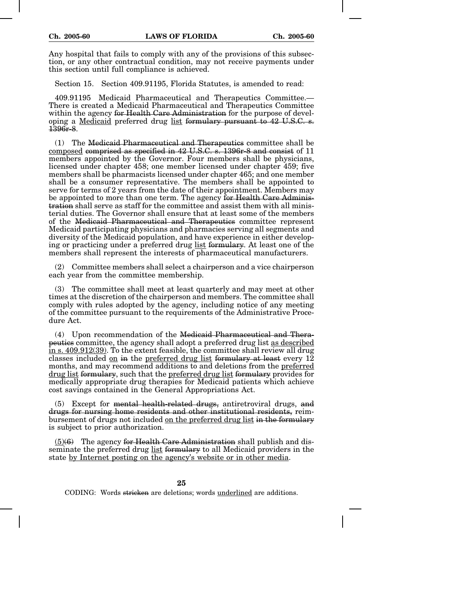Any hospital that fails to comply with any of the provisions of this subsection, or any other contractual condition, may not receive payments under this section until full compliance is achieved.

Section 15. Section 409.91195, Florida Statutes, is amended to read:

409.91195 Medicaid Pharmaceutical and Therapeutics Committee.— There is created a Medicaid Pharmaceutical and Therapeutics Committee within the agency for Health Care Administration for the purpose of developing a Medicaid preferred drug list formulary pursuant to 42 U.S.C. s. 1396r-8.

(1) The Medicaid Pharmaceutical and Therapeutics committee shall be composed comprised as specified in 42 U.S.C. s. 1396r-8 and consist of 11 members appointed by the Governor. Four members shall be physicians, licensed under chapter 458; one member licensed under chapter 459; five members shall be pharmacists licensed under chapter 465; and one member shall be a consumer representative. The members shall be appointed to serve for terms of 2 years from the date of their appointment. Members may be appointed to more than one term. The agency for Health Care Administration shall serve as staff for the committee and assist them with all ministerial duties. The Governor shall ensure that at least some of the members of the Medicaid Pharmaceutical and Therapeutics committee represent Medicaid participating physicians and pharmacies serving all segments and diversity of the Medicaid population, and have experience in either developing or practicing under a preferred drug list formulary. At least one of the members shall represent the interests of pharmaceutical manufacturers.

(2) Committee members shall select a chairperson and a vice chairperson each year from the committee membership.

(3) The committee shall meet at least quarterly and may meet at other times at the discretion of the chairperson and members. The committee shall comply with rules adopted by the agency, including notice of any meeting of the committee pursuant to the requirements of the Administrative Procedure Act.

(4) Upon recommendation of the Medicaid Pharmaceutical and Therapeutics committee, the agency shall adopt a preferred drug list as described in s. 409.912(39). To the extent feasible, the committee shall review all drug classes included on in the preferred drug list formulary at least every 12 months, and may recommend additions to and deletions from the preferred drug list formulary, such that the preferred drug list formulary provides for medically appropriate drug therapies for Medicaid patients which achieve cost savings contained in the General Appropriations Act.

(5) Except for mental health-related drugs, antiretroviral drugs, and drugs for nursing home residents and other institutional residents, reimbursement of drugs not included <u>on the preferred drug list</u> in the formulary is subject to prior authorization.

 $(5)(6)$  The agency for Health Care Administration shall publish and disseminate the preferred drug list formulary to all Medicaid providers in the state by Internet posting on the agency's website or in other media.

**25**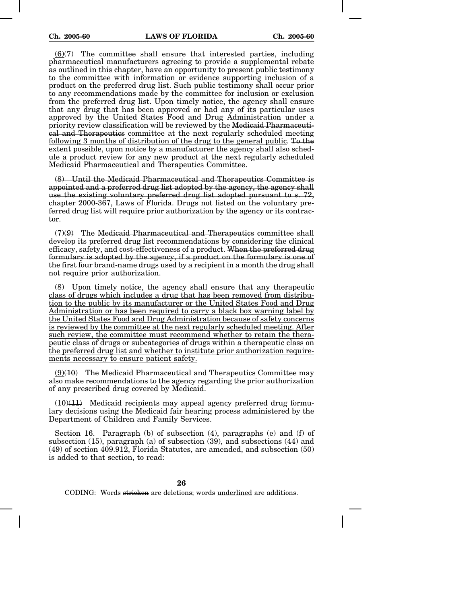$(6)(7)$  The committee shall ensure that interested parties, including pharmaceutical manufacturers agreeing to provide a supplemental rebate as outlined in this chapter, have an opportunity to present public testimony to the committee with information or evidence supporting inclusion of a product on the preferred drug list. Such public testimony shall occur prior to any recommendations made by the committee for inclusion or exclusion from the preferred drug list. Upon timely notice, the agency shall ensure that any drug that has been approved or had any of its particular uses approved by the United States Food and Drug Administration under a priority review classification will be reviewed by the Medicaid Pharmaceutical and Therapeutics committee at the next regularly scheduled meeting following 3 months of distribution of the drug to the general public. To the extent possible, upon notice by a manufacturer the agency shall also schedule a product review for any new product at the next regularly scheduled Medicaid Pharmaceutical and Therapeutics Committee.

(8) Until the Medicaid Pharmaceutical and Therapeutics Committee is appointed and a preferred drug list adopted by the agency, the agency shall use the existing voluntary preferred drug list adopted pursuant to s. 72, chapter 2000-367, Laws of Florida. Drugs not listed on the voluntary preferred drug list will require prior authorization by the agency or its contractor.

 $(7)(9)$  The Medicaid Pharmaceutical and Therapeutics committee shall develop its preferred drug list recommendations by considering the clinical efficacy, safety, and cost-effectiveness of a product. When the preferred drug formulary is adopted by the agency, if a product on the formulary is one of the first four brand-name drugs used by a recipient in a month the drug shall not require prior authorization.

(8) Upon timely notice, the agency shall ensure that any therapeutic class of drugs which includes a drug that has been removed from distribution to the public by its manufacturer or the United States Food and Drug Administration or has been required to carry a black box warning label by the United States Food and Drug Administration because of safety concerns is reviewed by the committee at the next regularly scheduled meeting. After such review, the committee must recommend whether to retain the therapeutic class of drugs or subcategories of drugs within a therapeutic class on the preferred drug list and whether to institute prior authorization requirements necessary to ensure patient safety.

 $(9)(10)$  The Medicaid Pharmaceutical and Therapeutics Committee may also make recommendations to the agency regarding the prior authorization of any prescribed drug covered by Medicaid.

 $(10)(11)$  Medicaid recipients may appeal agency preferred drug formulary decisions using the Medicaid fair hearing process administered by the Department of Children and Family Services.

Section 16. Paragraph (b) of subsection (4), paragraphs (e) and (f) of subsection (15), paragraph (a) of subsection (39), and subsections (44) and (49) of section 409.912, Florida Statutes, are amended, and subsection (50) is added to that section, to read: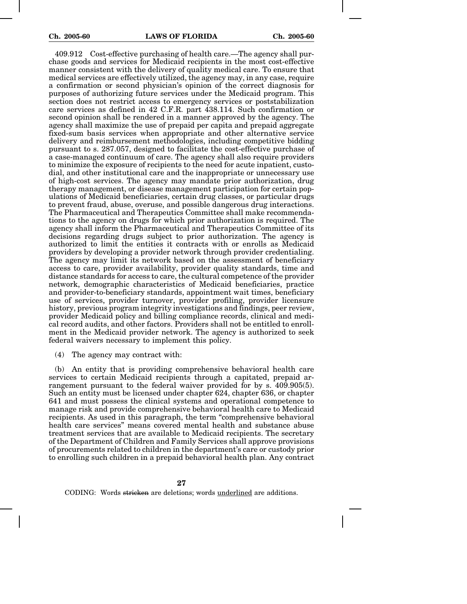409.912 Cost-effective purchasing of health care.—The agency shall purchase goods and services for Medicaid recipients in the most cost-effective manner consistent with the delivery of quality medical care. To ensure that medical services are effectively utilized, the agency may, in any case, require a confirmation or second physician's opinion of the correct diagnosis for purposes of authorizing future services under the Medicaid program. This section does not restrict access to emergency services or poststabilization care services as defined in 42 C.F.R. part 438.114. Such confirmation or second opinion shall be rendered in a manner approved by the agency. The agency shall maximize the use of prepaid per capita and prepaid aggregate fixed-sum basis services when appropriate and other alternative service delivery and reimbursement methodologies, including competitive bidding pursuant to s. 287.057, designed to facilitate the cost-effective purchase of a case-managed continuum of care. The agency shall also require providers to minimize the exposure of recipients to the need for acute inpatient, custodial, and other institutional care and the inappropriate or unnecessary use of high-cost services. The agency may mandate prior authorization, drug therapy management, or disease management participation for certain populations of Medicaid beneficiaries, certain drug classes, or particular drugs to prevent fraud, abuse, overuse, and possible dangerous drug interactions. The Pharmaceutical and Therapeutics Committee shall make recommendations to the agency on drugs for which prior authorization is required. The agency shall inform the Pharmaceutical and Therapeutics Committee of its decisions regarding drugs subject to prior authorization. The agency is authorized to limit the entities it contracts with or enrolls as Medicaid providers by developing a provider network through provider credentialing. The agency may limit its network based on the assessment of beneficiary access to care, provider availability, provider quality standards, time and distance standards for access to care, the cultural competence of the provider network, demographic characteristics of Medicaid beneficiaries, practice and provider-to-beneficiary standards, appointment wait times, beneficiary use of services, provider turnover, provider profiling, provider licensure history, previous program integrity investigations and findings, peer review, provider Medicaid policy and billing compliance records, clinical and medical record audits, and other factors. Providers shall not be entitled to enrollment in the Medicaid provider network. The agency is authorized to seek federal waivers necessary to implement this policy.

(4) The agency may contract with:

(b) An entity that is providing comprehensive behavioral health care services to certain Medicaid recipients through a capitated, prepaid arrangement pursuant to the federal waiver provided for by s. 409.905(5). Such an entity must be licensed under chapter 624, chapter 636, or chapter 641 and must possess the clinical systems and operational competence to manage risk and provide comprehensive behavioral health care to Medicaid recipients. As used in this paragraph, the term "comprehensive behavioral health care services" means covered mental health and substance abuse treatment services that are available to Medicaid recipients. The secretary of the Department of Children and Family Services shall approve provisions of procurements related to children in the department's care or custody prior to enrolling such children in a prepaid behavioral health plan. Any contract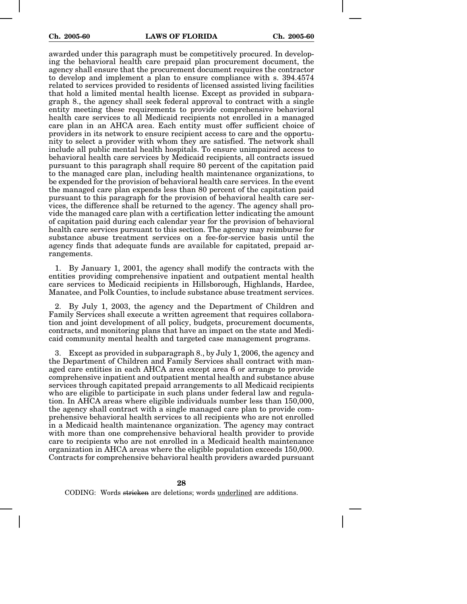awarded under this paragraph must be competitively procured. In developing the behavioral health care prepaid plan procurement document, the agency shall ensure that the procurement document requires the contractor to develop and implement a plan to ensure compliance with s. 394.4574 related to services provided to residents of licensed assisted living facilities that hold a limited mental health license. Except as provided in subparagraph 8., the agency shall seek federal approval to contract with a single entity meeting these requirements to provide comprehensive behavioral health care services to all Medicaid recipients not enrolled in a managed care plan in an AHCA area. Each entity must offer sufficient choice of providers in its network to ensure recipient access to care and the opportunity to select a provider with whom they are satisfied. The network shall include all public mental health hospitals. To ensure unimpaired access to behavioral health care services by Medicaid recipients, all contracts issued pursuant to this paragraph shall require 80 percent of the capitation paid to the managed care plan, including health maintenance organizations, to be expended for the provision of behavioral health care services. In the event the managed care plan expends less than 80 percent of the capitation paid pursuant to this paragraph for the provision of behavioral health care services, the difference shall be returned to the agency. The agency shall provide the managed care plan with a certification letter indicating the amount of capitation paid during each calendar year for the provision of behavioral health care services pursuant to this section. The agency may reimburse for substance abuse treatment services on a fee-for-service basis until the agency finds that adequate funds are available for capitated, prepaid arrangements.

1. By January 1, 2001, the agency shall modify the contracts with the entities providing comprehensive inpatient and outpatient mental health care services to Medicaid recipients in Hillsborough, Highlands, Hardee, Manatee, and Polk Counties, to include substance abuse treatment services.

2. By July 1, 2003, the agency and the Department of Children and Family Services shall execute a written agreement that requires collaboration and joint development of all policy, budgets, procurement documents, contracts, and monitoring plans that have an impact on the state and Medicaid community mental health and targeted case management programs.

3. Except as provided in subparagraph 8., by July 1, 2006, the agency and the Department of Children and Family Services shall contract with managed care entities in each AHCA area except area 6 or arrange to provide comprehensive inpatient and outpatient mental health and substance abuse services through capitated prepaid arrangements to all Medicaid recipients who are eligible to participate in such plans under federal law and regulation. In AHCA areas where eligible individuals number less than 150,000, the agency shall contract with a single managed care plan to provide comprehensive behavioral health services to all recipients who are not enrolled in a Medicaid health maintenance organization. The agency may contract with more than one comprehensive behavioral health provider to provide care to recipients who are not enrolled in a Medicaid health maintenance organization in AHCA areas where the eligible population exceeds 150,000. Contracts for comprehensive behavioral health providers awarded pursuant

**28**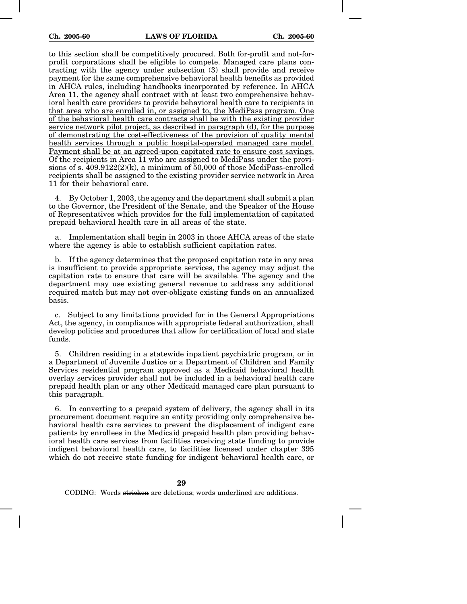to this section shall be competitively procured. Both for-profit and not-forprofit corporations shall be eligible to compete. Managed care plans contracting with the agency under subsection (3) shall provide and receive payment for the same comprehensive behavioral health benefits as provided in AHCA rules, including handbooks incorporated by reference. In AHCA Area 11, the agency shall contract with at least two comprehensive behavioral health care providers to provide behavioral health care to recipients in that area who are enrolled in, or assigned to, the MediPass program. One of the behavioral health care contracts shall be with the existing provider service network pilot project, as described in paragraph (d), for the purpose of demonstrating the cost-effectiveness of the provision of quality mental health services through a public hospital-operated managed care model. Payment shall be at an agreed-upon capitated rate to ensure cost savings. Of the recipients in Area 11 who are assigned to MediPass under the provisions of s.  $409.9122(2)(k)$ , a minimum of 50,000 of those MediPass-enrolled recipients shall be assigned to the existing provider service network in Area 11 for their behavioral care.

4. By October 1, 2003, the agency and the department shall submit a plan to the Governor, the President of the Senate, and the Speaker of the House of Representatives which provides for the full implementation of capitated prepaid behavioral health care in all areas of the state.

a. Implementation shall begin in 2003 in those AHCA areas of the state where the agency is able to establish sufficient capitation rates.

b. If the agency determines that the proposed capitation rate in any area is insufficient to provide appropriate services, the agency may adjust the capitation rate to ensure that care will be available. The agency and the department may use existing general revenue to address any additional required match but may not over-obligate existing funds on an annualized basis.

c. Subject to any limitations provided for in the General Appropriations Act, the agency, in compliance with appropriate federal authorization, shall develop policies and procedures that allow for certification of local and state funds.

5. Children residing in a statewide inpatient psychiatric program, or in a Department of Juvenile Justice or a Department of Children and Family Services residential program approved as a Medicaid behavioral health overlay services provider shall not be included in a behavioral health care prepaid health plan or any other Medicaid managed care plan pursuant to this paragraph.

6. In converting to a prepaid system of delivery, the agency shall in its procurement document require an entity providing only comprehensive behavioral health care services to prevent the displacement of indigent care patients by enrollees in the Medicaid prepaid health plan providing behavioral health care services from facilities receiving state funding to provide indigent behavioral health care, to facilities licensed under chapter 395 which do not receive state funding for indigent behavioral health care, or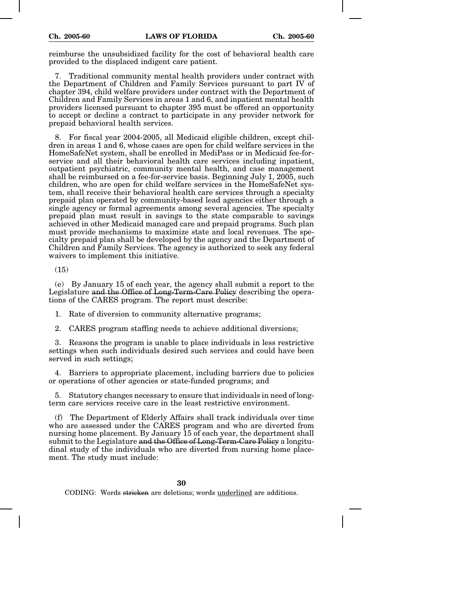reimburse the unsubsidized facility for the cost of behavioral health care provided to the displaced indigent care patient.

7. Traditional community mental health providers under contract with the Department of Children and Family Services pursuant to part IV of chapter 394, child welfare providers under contract with the Department of Children and Family Services in areas 1 and 6, and inpatient mental health providers licensed pursuant to chapter 395 must be offered an opportunity to accept or decline a contract to participate in any provider network for prepaid behavioral health services.

8. For fiscal year 2004-2005, all Medicaid eligible children, except children in areas 1 and 6, whose cases are open for child welfare services in the HomeSafeNet system, shall be enrolled in MediPass or in Medicaid fee-forservice and all their behavioral health care services including inpatient, outpatient psychiatric, community mental health, and case management shall be reimbursed on a fee-for-service basis. Beginning July 1, 2005, such children, who are open for child welfare services in the HomeSafeNet system, shall receive their behavioral health care services through a specialty prepaid plan operated by community-based lead agencies either through a single agency or formal agreements among several agencies. The specialty prepaid plan must result in savings to the state comparable to savings achieved in other Medicaid managed care and prepaid programs. Such plan must provide mechanisms to maximize state and local revenues. The specialty prepaid plan shall be developed by the agency and the Department of Children and Family Services. The agency is authorized to seek any federal waivers to implement this initiative.

(15)

(e) By January 15 of each year, the agency shall submit a report to the Legislature and the Office of Long-Term-Care Policy describing the operations of the CARES program. The report must describe:

1. Rate of diversion to community alternative programs;

2. CARES program staffing needs to achieve additional diversions;

3. Reasons the program is unable to place individuals in less restrictive settings when such individuals desired such services and could have been served in such settings;

4. Barriers to appropriate placement, including barriers due to policies or operations of other agencies or state-funded programs; and

5. Statutory changes necessary to ensure that individuals in need of longterm care services receive care in the least restrictive environment.

(f) The Department of Elderly Affairs shall track individuals over time who are assessed under the CARES program and who are diverted from nursing home placement. By January 15 of each year, the department shall submit to the Legislature and the Office of Long-Term-Care Policy a longitudinal study of the individuals who are diverted from nursing home placement. The study must include: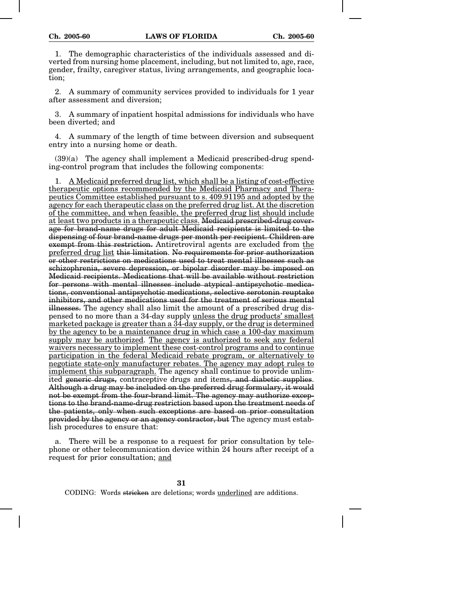1. The demographic characteristics of the individuals assessed and diverted from nursing home placement, including, but not limited to, age, race, gender, frailty, caregiver status, living arrangements, and geographic location;

2. A summary of community services provided to individuals for 1 year after assessment and diversion;

3. A summary of inpatient hospital admissions for individuals who have been diverted; and

4. A summary of the length of time between diversion and subsequent entry into a nursing home or death.

 $(39)(a)$  The agency shall implement a Medicaid prescribed-drug spending-control program that includes the following components:

1. A Medicaid preferred drug list, which shall be a listing of cost-effective therapeutic options recommended by the Medicaid Pharmacy and Therapeutics Committee established pursuant to s. 409.91195 and adopted by the agency for each therapeutic class on the preferred drug list. At the discretion of the committee, and when feasible, the preferred drug list should include at least two products in a therapeutic class. Medicaid prescribed-drug coverage for brand-name drugs for adult Medicaid recipients is limited to the dispensing of four brand-name drugs per month per recipient. Children are exempt from this restriction. Antiretroviral agents are excluded from the preferred drug list this limitation. No requirements for prior authorization or other restrictions on medications used to treat mental illnesses such as schizophrenia, severe depression, or bipolar disorder may be imposed on Medicaid recipients. Medications that will be available without restriction for persons with mental illnesses include atypical antipsychotic medications, conventional antipsychotic medications, selective serotonin reuptake inhibitors, and other medications used for the treatment of serious mental illnesses. The agency shall also limit the amount of a prescribed drug dispensed to no more than a 34-day supply unless the drug products' smallest marketed package is greater than a  $34$ -day supply, or the drug is determined by the agency to be a maintenance drug in which case a 100-day maximum supply may be authorized. The agency is authorized to seek any federal waivers necessary to implement these cost-control programs and to continue participation in the federal Medicaid rebate program, or alternatively to negotiate state-only manufacturer rebates. The agency may adopt rules to implement this subparagraph. The agency shall continue to provide unlimited generic drugs, contraceptive drugs and items, and diabetic supplies. Although a drug may be included on the preferred drug formulary, it would not be exempt from the four-brand limit. The agency may authorize exceptions to the brand-name-drug restriction based upon the treatment needs of the patients, only when such exceptions are based on prior consultation provided by the agency or an agency contractor, but The agency must establish procedures to ensure that:

a. There will be a response to a request for prior consultation by telephone or other telecommunication device within 24 hours after receipt of a request for prior consultation; and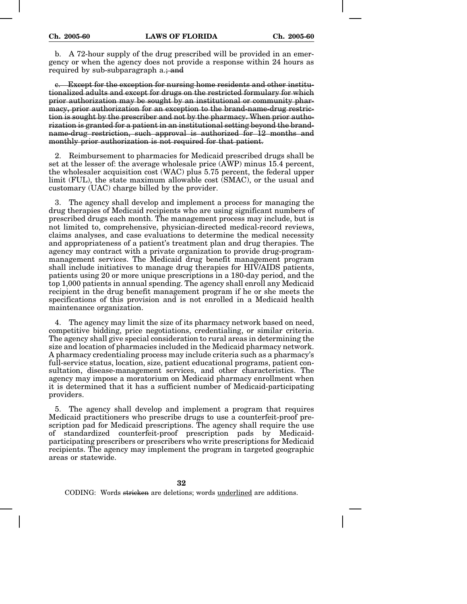b. A 72-hour supply of the drug prescribed will be provided in an emergency or when the agency does not provide a response within 24 hours as required by sub-subparagraph a.; and

c. Except for the exception for nursing home residents and other institutionalized adults and except for drugs on the restricted formulary for which prior authorization may be sought by an institutional or community pharmacy, prior authorization for an exception to the brand-name-drug restriction is sought by the prescriber and not by the pharmacy. When prior authorization is granted for a patient in an institutional setting beyond the brandname-drug restriction, such approval is authorized for 12 months and monthly prior authorization is not required for that patient.

2. Reimbursement to pharmacies for Medicaid prescribed drugs shall be set at the lesser of: the average wholesale price (AWP) minus 15.4 percent, the wholesaler acquisition cost (WAC) plus 5.75 percent, the federal upper limit (FUL), the state maximum allowable cost (SMAC), or the usual and customary (UAC) charge billed by the provider.

3. The agency shall develop and implement a process for managing the drug therapies of Medicaid recipients who are using significant numbers of prescribed drugs each month. The management process may include, but is not limited to, comprehensive, physician-directed medical-record reviews, claims analyses, and case evaluations to determine the medical necessity and appropriateness of a patient's treatment plan and drug therapies. The agency may contract with a private organization to provide drug-programmanagement services. The Medicaid drug benefit management program shall include initiatives to manage drug therapies for HIV/AIDS patients, patients using 20 or more unique prescriptions in a 180-day period, and the top 1,000 patients in annual spending. The agency shall enroll any Medicaid recipient in the drug benefit management program if he or she meets the specifications of this provision and is not enrolled in a Medicaid health maintenance organization.

4. The agency may limit the size of its pharmacy network based on need, competitive bidding, price negotiations, credentialing, or similar criteria. The agency shall give special consideration to rural areas in determining the size and location of pharmacies included in the Medicaid pharmacy network. A pharmacy credentialing process may include criteria such as a pharmacy's full-service status, location, size, patient educational programs, patient consultation, disease-management services, and other characteristics. The agency may impose a moratorium on Medicaid pharmacy enrollment when it is determined that it has a sufficient number of Medicaid-participating providers.

5. The agency shall develop and implement a program that requires Medicaid practitioners who prescribe drugs to use a counterfeit-proof prescription pad for Medicaid prescriptions. The agency shall require the use of standardized counterfeit-proof prescription pads by Medicaidparticipating prescribers or prescribers who write prescriptions for Medicaid recipients. The agency may implement the program in targeted geographic areas or statewide.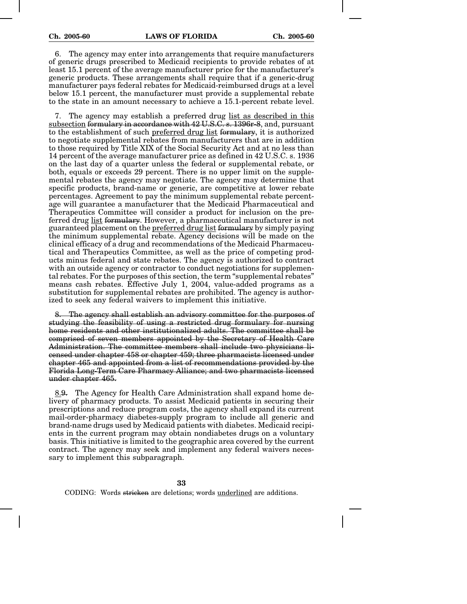6. The agency may enter into arrangements that require manufacturers of generic drugs prescribed to Medicaid recipients to provide rebates of at least 15.1 percent of the average manufacturer price for the manufacturer's generic products. These arrangements shall require that if a generic-drug manufacturer pays federal rebates for Medicaid-reimbursed drugs at a level below 15.1 percent, the manufacturer must provide a supplemental rebate to the state in an amount necessary to achieve a 15.1-percent rebate level.

7. The agency may establish a preferred drug list as described in this subsection formulary in accordance with 42 U.S.C. s. 1396 r-8, and, pursuant to the establishment of such preferred drug list formulary, it is authorized to negotiate supplemental rebates from manufacturers that are in addition to those required by Title XIX of the Social Security Act and at no less than 14 percent of the average manufacturer price as defined in 42 U.S.C. s. 1936 on the last day of a quarter unless the federal or supplemental rebate, or both, equals or exceeds 29 percent. There is no upper limit on the supplemental rebates the agency may negotiate. The agency may determine that specific products, brand-name or generic, are competitive at lower rebate percentages. Agreement to pay the minimum supplemental rebate percentage will guarantee a manufacturer that the Medicaid Pharmaceutical and Therapeutics Committee will consider a product for inclusion on the preferred drug list formulary. However, a pharmaceutical manufacturer is not guaranteed placement on the preferred drug list formulary by simply paying the minimum supplemental rebate. Agency decisions will be made on the clinical efficacy of a drug and recommendations of the Medicaid Pharmaceutical and Therapeutics Committee, as well as the price of competing products minus federal and state rebates. The agency is authorized to contract with an outside agency or contractor to conduct negotiations for supplemental rebates. For the purposes of this section, the term "supplemental rebates" means cash rebates. Effective July 1, 2004, value-added programs as a substitution for supplemental rebates are prohibited. The agency is authorized to seek any federal waivers to implement this initiative.

The agency shall establish an advisory committee for the purposes of studying the feasibility of using a restricted drug formulary for nursing home residents and other institutionalized adults. The committee shall be comprised of seven members appointed by the Secretary of Health Care Administration. The committee members shall include two physicians licensed under chapter 458 or chapter 459; three pharmacists licensed under chapter 465 and appointed from a list of recommendations provided by the Florida Long-Term Care Pharmacy Alliance; and two pharmacists licensed under chapter 465.

8.9. The Agency for Health Care Administration shall expand home delivery of pharmacy products. To assist Medicaid patients in securing their prescriptions and reduce program costs, the agency shall expand its current mail-order-pharmacy diabetes-supply program to include all generic and brand-name drugs used by Medicaid patients with diabetes. Medicaid recipients in the current program may obtain nondiabetes drugs on a voluntary basis. This initiative is limited to the geographic area covered by the current contract. The agency may seek and implement any federal waivers necessary to implement this subparagraph.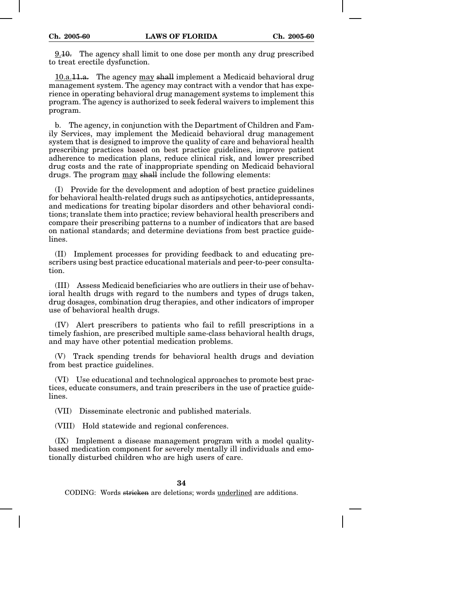9.10. The agency shall limit to one dose per month any drug prescribed to treat erectile dysfunction.

10.a.11.a. The agency may shall implement a Medicaid behavioral drug management system. The agency may contract with a vendor that has experience in operating behavioral drug management systems to implement this program. The agency is authorized to seek federal waivers to implement this program.

b. The agency, in conjunction with the Department of Children and Family Services, may implement the Medicaid behavioral drug management system that is designed to improve the quality of care and behavioral health prescribing practices based on best practice guidelines, improve patient adherence to medication plans, reduce clinical risk, and lower prescribed drug costs and the rate of inappropriate spending on Medicaid behavioral drugs. The program may shall include the following elements:

(I) Provide for the development and adoption of best practice guidelines for behavioral health-related drugs such as antipsychotics, antidepressants, and medications for treating bipolar disorders and other behavioral conditions; translate them into practice; review behavioral health prescribers and compare their prescribing patterns to a number of indicators that are based on national standards; and determine deviations from best practice guidelines.

(II) Implement processes for providing feedback to and educating prescribers using best practice educational materials and peer-to-peer consultation.

(III) Assess Medicaid beneficiaries who are outliers in their use of behavioral health drugs with regard to the numbers and types of drugs taken, drug dosages, combination drug therapies, and other indicators of improper use of behavioral health drugs.

(IV) Alert prescribers to patients who fail to refill prescriptions in a timely fashion, are prescribed multiple same-class behavioral health drugs, and may have other potential medication problems.

(V) Track spending trends for behavioral health drugs and deviation from best practice guidelines.

(VI) Use educational and technological approaches to promote best practices, educate consumers, and train prescribers in the use of practice guidelines.

(VII) Disseminate electronic and published materials.

(VIII) Hold statewide and regional conferences.

(IX) Implement a disease management program with a model qualitybased medication component for severely mentally ill individuals and emotionally disturbed children who are high users of care.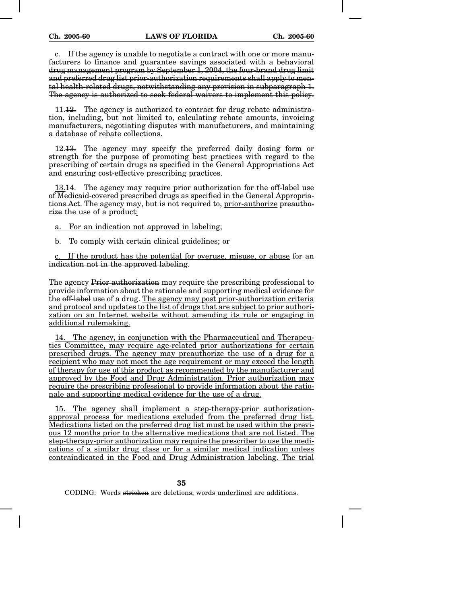c. If the agency is unable to negotiate a contract with one or more manufacturers to finance and guarantee savings associated with a behavioral  $d$ rug management program by September  $\overline{1}$ , 2004, the four-brand drug limit and preferred drug list prior-authorization requirements shall apply to mental health-related drugs, notwithstanding any provision in subparagraph 1. The agency is authorized to seek federal waivers to implement this policy.

11.12. The agency is authorized to contract for drug rebate administration, including, but not limited to, calculating rebate amounts, invoicing manufacturers, negotiating disputes with manufacturers, and maintaining a database of rebate collections.

12.13. The agency may specify the preferred daily dosing form or strength for the purpose of promoting best practices with regard to the prescribing of certain drugs as specified in the General Appropriations Act and ensuring cost-effective prescribing practices.

13.14. The agency may require prior authorization for the off-label use of Medicaid-covered prescribed drugs as specified in the General Appropriations Act. The agency may, but is not required to, prior-authorize preauthorize the use of a product:

a. For an indication not approved in labeling;

b. To comply with certain clinical guidelines; or

c. If the product has the potential for overuse, misuse, or abuse for an indication not in the approved labeling.

The agency Prior authorization may require the prescribing professional to provide information about the rationale and supporting medical evidence for the off-label use of a drug. The agency may post prior-authorization criteria and protocol and updates to the list of drugs that are subject to prior authorization on an Internet website without amending its rule or engaging in additional rulemaking.

14. The agency, in conjunction with the Pharmaceutical and Therapeutics Committee, may require age-related prior authorizations for certain prescribed drugs. The agency may preauthorize the use of a drug for a recipient who may not meet the age requirement or may exceed the length of therapy for use of this product as recommended by the manufacturer and approved by the Food and Drug Administration. Prior authorization may require the prescribing professional to provide information about the rationale and supporting medical evidence for the use of a drug.

15. The agency shall implement a step-therapy-prior authorizationapproval process for medications excluded from the preferred drug list. Medications listed on the preferred drug list must be used within the previous 12 months prior to the alternative medications that are not listed. The step-therapy-prior authorization may require the prescriber to use the medications of a similar drug class or for a similar medical indication unless contraindicated in the Food and Drug Administration labeling. The trial

**35**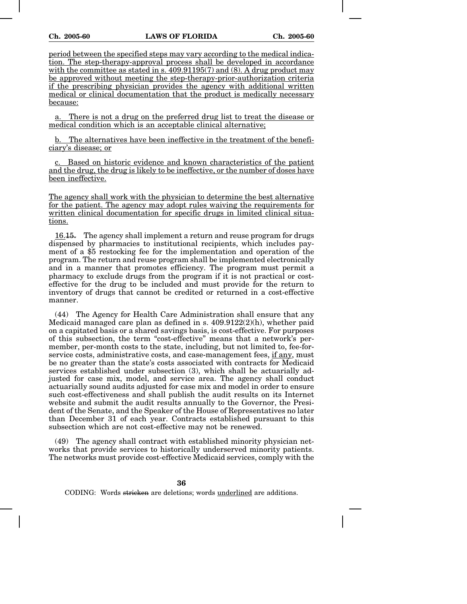period between the specified steps may vary according to the medical indication. The step-therapy-approval process shall be developed in accordance with the committee as stated in s.  $409.91195(7)$  and (8). A drug product may be approved without meeting the step-therapy-prior-authorization criteria if the prescribing physician provides the agency with additional written medical or clinical documentation that the product is medically necessary because:

a. There is not a drug on the preferred drug list to treat the disease or medical condition which is an acceptable clinical alternative;

b. The alternatives have been ineffective in the treatment of the beneficiary's disease; or

c. Based on historic evidence and known characteristics of the patient and the drug, the drug is likely to be ineffective, or the number of doses have been ineffective.

The agency shall work with the physician to determine the best alternative for the patient. The agency may adopt rules waiving the requirements for written clinical documentation for specific drugs in limited clinical situations.

16.15. The agency shall implement a return and reuse program for drugs dispensed by pharmacies to institutional recipients, which includes payment of a \$5 restocking fee for the implementation and operation of the program. The return and reuse program shall be implemented electronically and in a manner that promotes efficiency. The program must permit a pharmacy to exclude drugs from the program if it is not practical or costeffective for the drug to be included and must provide for the return to inventory of drugs that cannot be credited or returned in a cost-effective manner.

(44) The Agency for Health Care Administration shall ensure that any Medicaid managed care plan as defined in s.  $409.9122(2)(h)$ , whether paid on a capitated basis or a shared savings basis, is cost-effective. For purposes of this subsection, the term "cost-effective" means that a network's permember, per-month costs to the state, including, but not limited to, fee-forservice costs, administrative costs, and case-management fees, if any, must be no greater than the state's costs associated with contracts for Medicaid services established under subsection (3), which shall be actuarially adjusted for case mix, model, and service area. The agency shall conduct actuarially sound audits adjusted for case mix and model in order to ensure such cost-effectiveness and shall publish the audit results on its Internet website and submit the audit results annually to the Governor, the President of the Senate, and the Speaker of the House of Representatives no later than December 31 of each year. Contracts established pursuant to this subsection which are not cost-effective may not be renewed.

(49) The agency shall contract with established minority physician networks that provide services to historically underserved minority patients. The networks must provide cost-effective Medicaid services, comply with the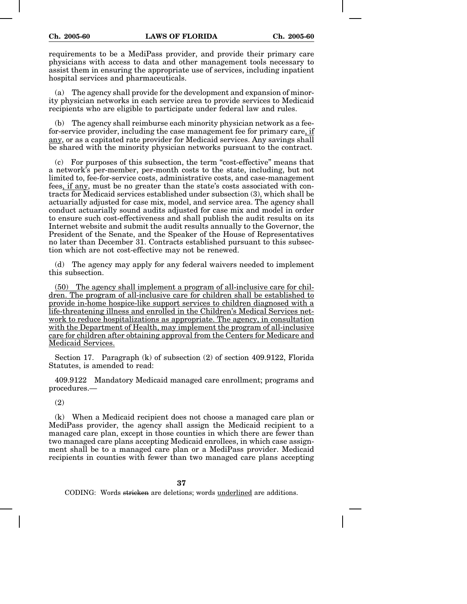requirements to be a MediPass provider, and provide their primary care physicians with access to data and other management tools necessary to assist them in ensuring the appropriate use of services, including inpatient hospital services and pharmaceuticals.

(a) The agency shall provide for the development and expansion of minority physician networks in each service area to provide services to Medicaid recipients who are eligible to participate under federal law and rules.

(b) The agency shall reimburse each minority physician network as a feefor-service provider, including the case management fee for primary care, if any, or as a capitated rate provider for Medicaid services. Any savings shall be shared with the minority physician networks pursuant to the contract.

(c) For purposes of this subsection, the term "cost-effective" means that a network's per-member, per-month costs to the state, including, but not limited to, fee-for-service costs, administrative costs, and case-management fees, if any, must be no greater than the state's costs associated with contracts for Medicaid services established under subsection (3), which shall be actuarially adjusted for case mix, model, and service area. The agency shall conduct actuarially sound audits adjusted for case mix and model in order to ensure such cost-effectiveness and shall publish the audit results on its Internet website and submit the audit results annually to the Governor, the President of the Senate, and the Speaker of the House of Representatives no later than December 31. Contracts established pursuant to this subsection which are not cost-effective may not be renewed.

(d) The agency may apply for any federal waivers needed to implement this subsection.

(50) The agency shall implement a program of all-inclusive care for children. The program of all-inclusive care for children shall be established to provide in-home hospice-like support services to children diagnosed with a life-threatening illness and enrolled in the Children's Medical Services network to reduce hospitalizations as appropriate. The agency, in consultation with the Department of Health, may implement the program of all-inclusive care for children after obtaining approval from the Centers for Medicare and Medicaid Services.

Section 17. Paragraph (k) of subsection (2) of section 409.9122, Florida Statutes, is amended to read:

409.9122 Mandatory Medicaid managed care enrollment; programs and procedures.—

(2)

(k) When a Medicaid recipient does not choose a managed care plan or MediPass provider, the agency shall assign the Medicaid recipient to a managed care plan, except in those counties in which there are fewer than two managed care plans accepting Medicaid enrollees, in which case assignment shall be to a managed care plan or a MediPass provider. Medicaid recipients in counties with fewer than two managed care plans accepting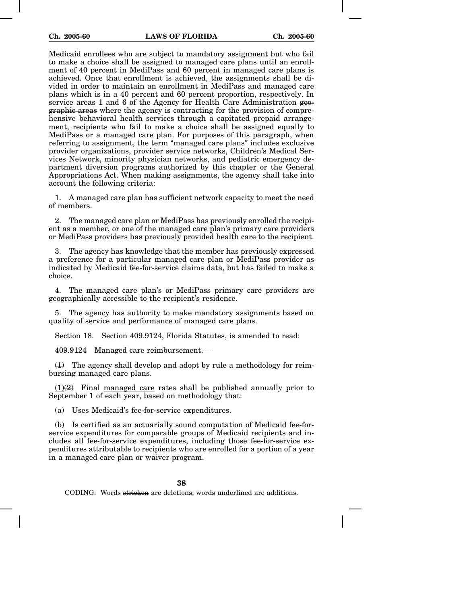Medicaid enrollees who are subject to mandatory assignment but who fail to make a choice shall be assigned to managed care plans until an enrollment of 40 percent in MediPass and 60 percent in managed care plans is achieved. Once that enrollment is achieved, the assignments shall be divided in order to maintain an enrollment in MediPass and managed care plans which is in a 40 percent and 60 percent proportion, respectively. In service areas 1 and 6 of the Agency for Health Care Administration geographic areas where the agency is contracting for the provision of comprehensive behavioral health services through a capitated prepaid arrangement, recipients who fail to make a choice shall be assigned equally to MediPass or a managed care plan. For purposes of this paragraph, when referring to assignment, the term "managed care plans" includes exclusive provider organizations, provider service networks, Children's Medical Services Network, minority physician networks, and pediatric emergency department diversion programs authorized by this chapter or the General Appropriations Act. When making assignments, the agency shall take into account the following criteria:

1. A managed care plan has sufficient network capacity to meet the need of members.

2. The managed care plan or MediPass has previously enrolled the recipient as a member, or one of the managed care plan's primary care providers or MediPass providers has previously provided health care to the recipient.

3. The agency has knowledge that the member has previously expressed a preference for a particular managed care plan or MediPass provider as indicated by Medicaid fee-for-service claims data, but has failed to make a choice.

4. The managed care plan's or MediPass primary care providers are geographically accessible to the recipient's residence.

5. The agency has authority to make mandatory assignments based on quality of service and performance of managed care plans.

Section 18. Section 409.9124, Florida Statutes, is amended to read:

409.9124 Managed care reimbursement.—

 $(1)$  The agency shall develop and adopt by rule a methodology for reimbursing managed care plans.

 $(1)(2)$  Final managed care rates shall be published annually prior to September 1 of each year, based on methodology that:

(a) Uses Medicaid's fee-for-service expenditures.

(b) Is certified as an actuarially sound computation of Medicaid fee-forservice expenditures for comparable groups of Medicaid recipients and includes all fee-for-service expenditures, including those fee-for-service expenditures attributable to recipients who are enrolled for a portion of a year in a managed care plan or waiver program.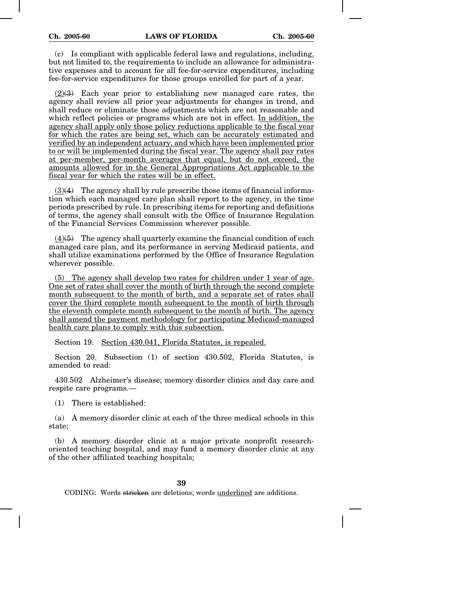(c) Is compliant with applicable federal laws and regulations, including, but not limited to, the requirements to include an allowance for administrative expenses and to account for all fee-for-service expenditures, including fee-for-service expenditures for those groups enrolled for part of a year.

(2)(3) Each year prior to establishing new managed care rates, the agency shall review all prior year adjustments for changes in trend, and shall reduce or eliminate those adjustments which are not reasonable and which reflect policies or programs which are not in effect. In addition, the agency shall apply only those policy reductions applicable to the fiscal year for which the rates are being set, which can be accurately estimated and verified by an independent actuary, and which have been implemented prior to or will be implemented during the fiscal year. The agency shall pay rates at per-member, per-month averages that equal, but do not exceed, the amounts allowed for in the General Appropriations Act applicable to the fiscal year for which the rates will be in effect.

 $(3)(4)$  The agency shall by rule prescribe those items of financial information which each managed care plan shall report to the agency, in the time periods prescribed by rule. In prescribing items for reporting and definitions of terms, the agency shall consult with the Office of Insurance Regulation of the Financial Services Commission wherever possible.

 $(4)(5)$  The agency shall quarterly examine the financial condition of each managed care plan, and its performance in serving Medicaid patients, and shall utilize examinations performed by the Office of Insurance Regulation wherever possible.

(5) The agency shall develop two rates for children under 1 year of age. One set of rates shall cover the month of birth through the second complete month subsequent to the month of birth, and a separate set of rates shall cover the third complete month subsequent to the month of birth through the eleventh complete month subsequent to the month of birth. The agency shall amend the payment methodology for participating Medicaid-managed health care plans to comply with this subsection.

Section 19. Section 430.041, Florida Statutes, is repealed.

Section 20. Subsection (1) of section 430.502, Florida Statutes, is amended to read:

430.502 Alzheimer's disease; memory disorder clinics and day care and respite care programs.—

(1) There is established:

(a) A memory disorder clinic at each of the three medical schools in this state;

(b) A memory disorder clinic at a major private nonprofit researchoriented teaching hospital, and may fund a memory disorder clinic at any of the other affiliated teaching hospitals;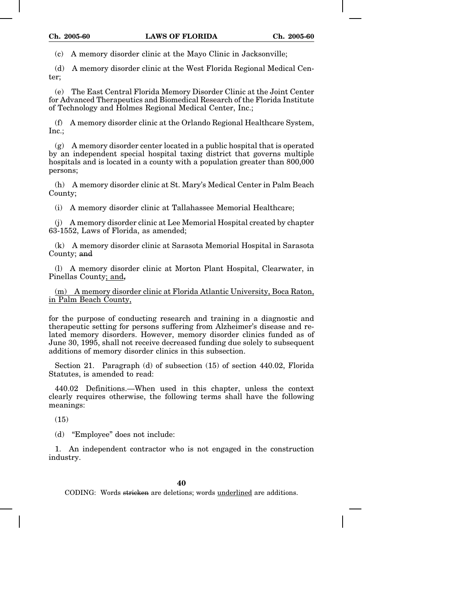(c) A memory disorder clinic at the Mayo Clinic in Jacksonville;

(d) A memory disorder clinic at the West Florida Regional Medical Center;

(e) The East Central Florida Memory Disorder Clinic at the Joint Center for Advanced Therapeutics and Biomedical Research of the Florida Institute of Technology and Holmes Regional Medical Center, Inc.;

(f) A memory disorder clinic at the Orlando Regional Healthcare System, Inc.;

(g) A memory disorder center located in a public hospital that is operated by an independent special hospital taxing district that governs multiple hospitals and is located in a county with a population greater than 800,000 persons;

(h) A memory disorder clinic at St. Mary's Medical Center in Palm Beach County;

(i) A memory disorder clinic at Tallahassee Memorial Healthcare;

(j) A memory disorder clinic at Lee Memorial Hospital created by chapter 63-1552, Laws of Florida, as amended;

(k) A memory disorder clinic at Sarasota Memorial Hospital in Sarasota County; and

(l) A memory disorder clinic at Morton Plant Hospital, Clearwater, in Pinellas County; and,

(m) A memory disorder clinic at Florida Atlantic University, Boca Raton, in Palm Beach County,

for the purpose of conducting research and training in a diagnostic and therapeutic setting for persons suffering from Alzheimer's disease and related memory disorders. However, memory disorder clinics funded as of June 30, 1995, shall not receive decreased funding due solely to subsequent additions of memory disorder clinics in this subsection.

Section 21. Paragraph (d) of subsection (15) of section 440.02, Florida Statutes, is amended to read:

440.02 Definitions.—When used in this chapter, unless the context clearly requires otherwise, the following terms shall have the following meanings:

(15)

(d) "Employee" does not include:

1. An independent contractor who is not engaged in the construction industry.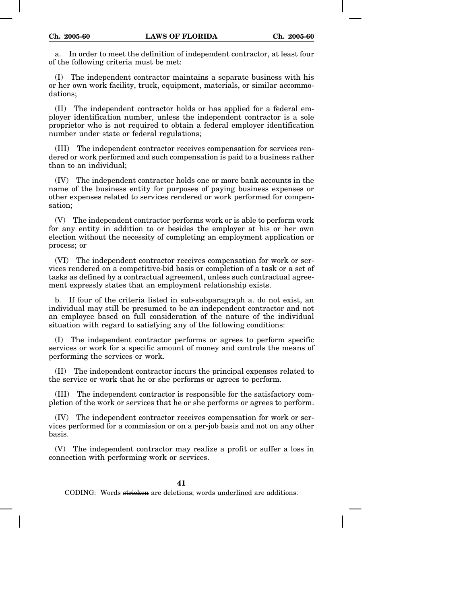a. In order to meet the definition of independent contractor, at least four of the following criteria must be met:

(I) The independent contractor maintains a separate business with his or her own work facility, truck, equipment, materials, or similar accommodations;

(II) The independent contractor holds or has applied for a federal employer identification number, unless the independent contractor is a sole proprietor who is not required to obtain a federal employer identification number under state or federal regulations;

(III) The independent contractor receives compensation for services rendered or work performed and such compensation is paid to a business rather than to an individual;

(IV) The independent contractor holds one or more bank accounts in the name of the business entity for purposes of paying business expenses or other expenses related to services rendered or work performed for compensation;

(V) The independent contractor performs work or is able to perform work for any entity in addition to or besides the employer at his or her own election without the necessity of completing an employment application or process; or

(VI) The independent contractor receives compensation for work or services rendered on a competitive-bid basis or completion of a task or a set of tasks as defined by a contractual agreement, unless such contractual agreement expressly states that an employment relationship exists.

b. If four of the criteria listed in sub-subparagraph a. do not exist, an individual may still be presumed to be an independent contractor and not an employee based on full consideration of the nature of the individual situation with regard to satisfying any of the following conditions:

(I) The independent contractor performs or agrees to perform specific services or work for a specific amount of money and controls the means of performing the services or work.

(II) The independent contractor incurs the principal expenses related to the service or work that he or she performs or agrees to perform.

(III) The independent contractor is responsible for the satisfactory completion of the work or services that he or she performs or agrees to perform.

(IV) The independent contractor receives compensation for work or services performed for a commission or on a per-job basis and not on any other basis.

(V) The independent contractor may realize a profit or suffer a loss in connection with performing work or services.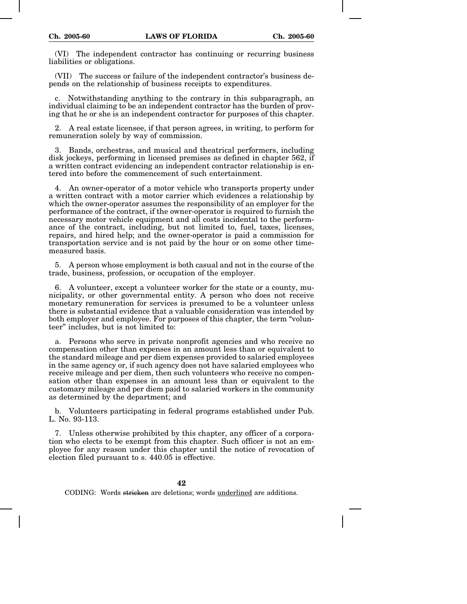(VI) The independent contractor has continuing or recurring business liabilities or obligations.

(VII) The success or failure of the independent contractor's business depends on the relationship of business receipts to expenditures.

c. Notwithstanding anything to the contrary in this subparagraph, an individual claiming to be an independent contractor has the burden of proving that he or she is an independent contractor for purposes of this chapter.

2. A real estate licensee, if that person agrees, in writing, to perform for remuneration solely by way of commission.

3. Bands, orchestras, and musical and theatrical performers, including disk jockeys, performing in licensed premises as defined in chapter 562, if a written contract evidencing an independent contractor relationship is entered into before the commencement of such entertainment.

4. An owner-operator of a motor vehicle who transports property under a written contract with a motor carrier which evidences a relationship by which the owner-operator assumes the responsibility of an employer for the performance of the contract, if the owner-operator is required to furnish the necessary motor vehicle equipment and all costs incidental to the performance of the contract, including, but not limited to, fuel, taxes, licenses, repairs, and hired help; and the owner-operator is paid a commission for transportation service and is not paid by the hour or on some other timemeasured basis.

5. A person whose employment is both casual and not in the course of the trade, business, profession, or occupation of the employer.

6. A volunteer, except a volunteer worker for the state or a county, municipality, or other governmental entity. A person who does not receive monetary remuneration for services is presumed to be a volunteer unless there is substantial evidence that a valuable consideration was intended by both employer and employee. For purposes of this chapter, the term "volunteer" includes, but is not limited to:

a. Persons who serve in private nonprofit agencies and who receive no compensation other than expenses in an amount less than or equivalent to the standard mileage and per diem expenses provided to salaried employees in the same agency or, if such agency does not have salaried employees who receive mileage and per diem, then such volunteers who receive no compensation other than expenses in an amount less than or equivalent to the customary mileage and per diem paid to salaried workers in the community as determined by the department; and

b. Volunteers participating in federal programs established under Pub. L. No. 93-113.

7. Unless otherwise prohibited by this chapter, any officer of a corporation who elects to be exempt from this chapter. Such officer is not an employee for any reason under this chapter until the notice of revocation of election filed pursuant to s. 440.05 is effective.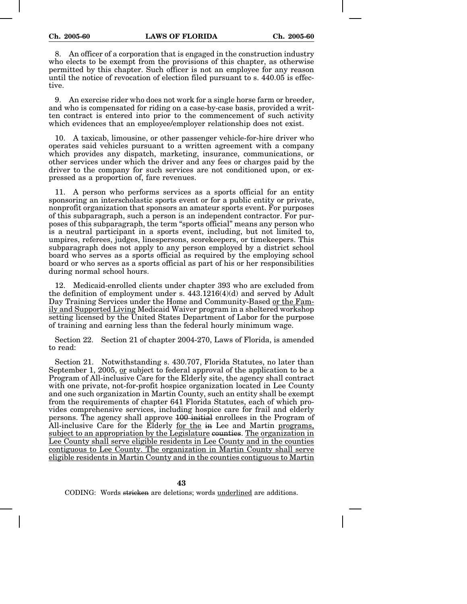8. An officer of a corporation that is engaged in the construction industry who elects to be exempt from the provisions of this chapter, as otherwise permitted by this chapter. Such officer is not an employee for any reason until the notice of revocation of election filed pursuant to s. 440.05 is effective.

9. An exercise rider who does not work for a single horse farm or breeder, and who is compensated for riding on a case-by-case basis, provided a written contract is entered into prior to the commencement of such activity which evidences that an employee/employer relationship does not exist.

10. A taxicab, limousine, or other passenger vehicle-for-hire driver who operates said vehicles pursuant to a written agreement with a company which provides any dispatch, marketing, insurance, communications, or other services under which the driver and any fees or charges paid by the driver to the company for such services are not conditioned upon, or expressed as a proportion of, fare revenues.

11. A person who performs services as a sports official for an entity sponsoring an interscholastic sports event or for a public entity or private, nonprofit organization that sponsors an amateur sports event. For purposes of this subparagraph, such a person is an independent contractor. For purposes of this subparagraph, the term "sports official" means any person who is a neutral participant in a sports event, including, but not limited to, umpires, referees, judges, linespersons, scorekeepers, or timekeepers. This subparagraph does not apply to any person employed by a district school board who serves as a sports official as required by the employing school board or who serves as a sports official as part of his or her responsibilities during normal school hours.

12. Medicaid-enrolled clients under chapter 393 who are excluded from the definition of employment under s.  $443.1216(4)(d)$  and served by Adult Day Training Services under the Home and Community-Based or the Family and Supported Living Medicaid Waiver program in a sheltered workshop setting licensed by the United States Department of Labor for the purpose of training and earning less than the federal hourly minimum wage.

Section 22. Section 21 of chapter 2004-270, Laws of Florida, is amended to read:

Section 21. Notwithstanding s. 430.707, Florida Statutes, no later than September 1, 2005, or subject to federal approval of the application to be a Program of All-inclusive Care for the Elderly site, the agency shall contract with one private, not-for-profit hospice organization located in Lee County and one such organization in Martin County, such an entity shall be exempt from the requirements of chapter 641 Florida Statutes, each of which provides comprehensive services, including hospice care for frail and elderly persons. The agency shall approve 100 initial enrollees in the Program of All-inclusive Care for the Elderly for the in Lee and Martin programs, subject to an appropriation by the Legislature counties. The organization in Lee County shall serve eligible residents in Lee County and in the counties contiguous to Lee County. The organization in Martin County shall serve eligible residents in Martin County and in the counties contiguous to Martin

**43**